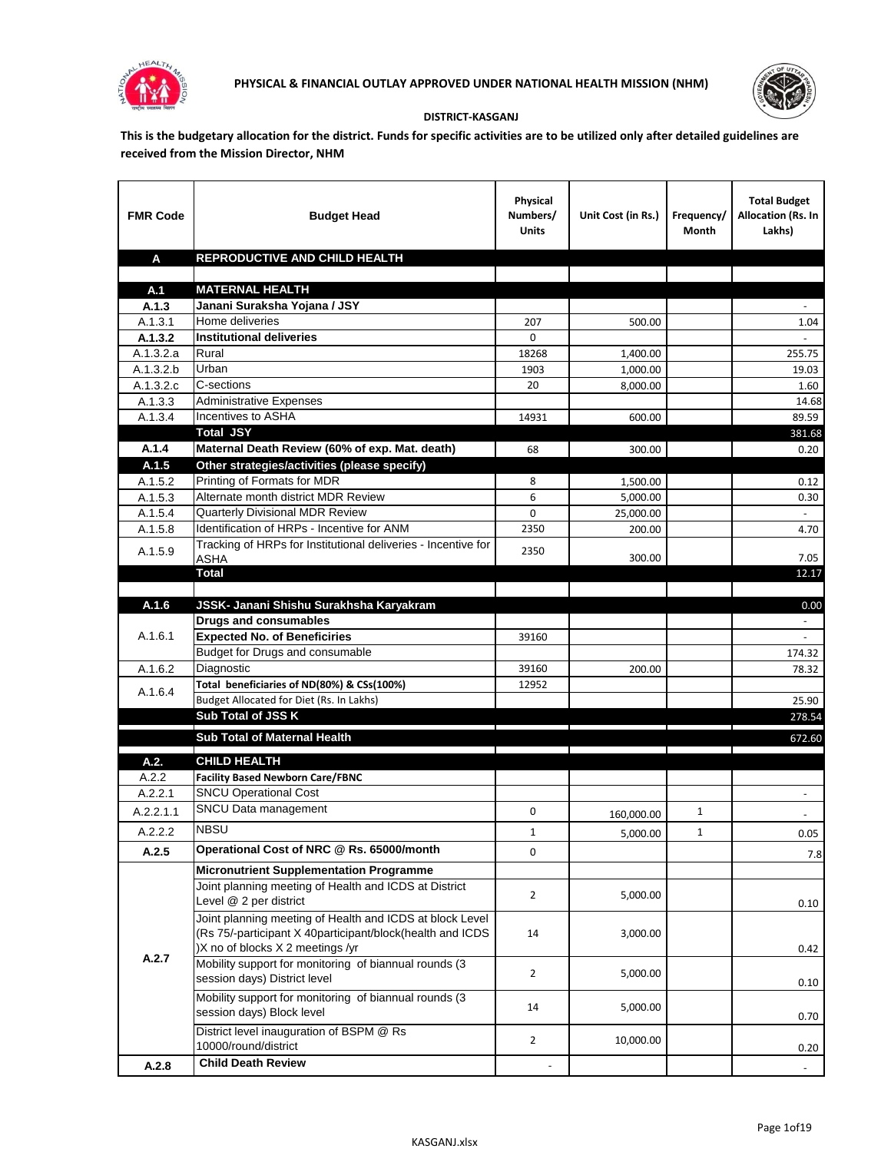



## **DISTRICT-KASGANJ**

**This is the budgetary allocation for the district. Funds for specific activities are to be utilized only after detailed guidelines are received from the Mission Director, NHM**

| <b>FMR Code</b>      | <b>Budget Head</b>                                                                                      | Physical<br>Numbers/<br><b>Units</b> | Unit Cost (in Rs.) | Frequency/<br>Month | <b>Total Budget</b><br>Allocation (Rs. In<br>Lakhs) |
|----------------------|---------------------------------------------------------------------------------------------------------|--------------------------------------|--------------------|---------------------|-----------------------------------------------------|
| A                    | REPRODUCTIVE AND CHILD HEALTH                                                                           |                                      |                    |                     |                                                     |
|                      |                                                                                                         |                                      |                    |                     |                                                     |
| A.1                  | <b>MATERNAL HEALTH</b>                                                                                  |                                      |                    |                     |                                                     |
| A.1.3                | Janani Suraksha Yojana / JSY                                                                            |                                      |                    |                     |                                                     |
| A.1.3.1              | Home deliveries                                                                                         | 207                                  | 500.00             |                     | 1.04                                                |
| A.1.3.2              | <b>Institutional deliveries</b>                                                                         | 0                                    |                    |                     |                                                     |
| A.1.3.2.a            | Rural                                                                                                   | 18268                                | 1,400.00           |                     | 255.75                                              |
| A.1.3.2.b            | Urban                                                                                                   | 1903                                 | 1,000.00           |                     | 19.03                                               |
| A.1.3.2.c<br>A.1.3.3 | C-sections<br><b>Administrative Expenses</b>                                                            | 20                                   | 8,000.00           |                     | 1.60                                                |
| A.1.3.4              | Incentives to ASHA                                                                                      | 14931                                | 600.00             |                     | 14.68<br>89.59                                      |
|                      | <b>Total JSY</b>                                                                                        |                                      |                    |                     | 381.68                                              |
| A.1.4                | Maternal Death Review (60% of exp. Mat. death)                                                          | 68                                   | 300.00             |                     | 0.20                                                |
| A.1.5                | Other strategies/activities (please specify)                                                            |                                      |                    |                     |                                                     |
| A.1.5.2              | Printing of Formats for MDR                                                                             | 8                                    | 1.500.00           |                     | 0.12                                                |
| A.1.5.3              | Alternate month district MDR Review                                                                     | 6                                    | 5,000.00           |                     | 0.30                                                |
| A.1.5.4              | <b>Quarterly Divisional MDR Review</b>                                                                  | 0                                    | 25,000.00          |                     |                                                     |
| A.1.5.8              | Identification of HRPs - Incentive for ANM                                                              | 2350                                 | 200.00             |                     | 4.70                                                |
|                      | Tracking of HRPs for Institutional deliveries - Incentive for                                           |                                      |                    |                     |                                                     |
| A.1.5.9              | <b>ASHA</b>                                                                                             | 2350                                 | 300.00             |                     | 7.05                                                |
|                      | <b>Total</b>                                                                                            |                                      |                    |                     | 12.17                                               |
|                      |                                                                                                         |                                      |                    |                     |                                                     |
| A.1.6                | JSSK- Janani Shishu Surakhsha Karyakram                                                                 |                                      |                    |                     | 0.00                                                |
|                      | <b>Drugs and consumables</b>                                                                            |                                      |                    |                     |                                                     |
| A.1.6.1              | <b>Expected No. of Beneficiries</b>                                                                     | 39160                                |                    |                     |                                                     |
|                      | Budget for Drugs and consumable                                                                         |                                      |                    |                     | 174.32                                              |
| A.1.6.2              | Diagnostic<br>Total beneficiaries of ND(80%) & CSs(100%)                                                | 39160                                | 200.00             |                     | 78.32                                               |
| A.1.6.4              | Budget Allocated for Diet (Rs. In Lakhs)                                                                | 12952                                |                    |                     | 25.90                                               |
|                      | Sub Total of JSS K                                                                                      |                                      |                    |                     | 278.54                                              |
|                      |                                                                                                         |                                      |                    |                     |                                                     |
|                      | Sub Total of Maternal Health                                                                            |                                      |                    |                     | 672.60                                              |
| A.2.                 | <b>CHILD HEALTH</b>                                                                                     |                                      |                    |                     |                                                     |
| A.2.2                | <b>Facility Based Newborn Care/FBNC</b>                                                                 |                                      |                    |                     |                                                     |
| A.2.2.1              | <b>SNCU Operational Cost</b>                                                                            |                                      |                    |                     | $\blacksquare$                                      |
| A.2.2.1.1            | SNCU Data management                                                                                    | 0                                    | 160,000.00         | 1                   |                                                     |
| A.2.2.2              | <b>NBSU</b>                                                                                             | 1                                    | 5,000.00           | 1                   | 0.05                                                |
| A.2.5                | Operational Cost of NRC @ Rs. 65000/month                                                               | 0                                    |                    |                     |                                                     |
|                      |                                                                                                         |                                      |                    |                     | 7.8                                                 |
|                      | <b>Micronutrient Supplementation Programme</b><br>Joint planning meeting of Health and ICDS at District |                                      |                    |                     |                                                     |
|                      | Level @ 2 per district                                                                                  | $\overline{2}$                       | 5,000.00           |                     |                                                     |
|                      | Joint planning meeting of Health and ICDS at block Level                                                |                                      |                    |                     | 0.10                                                |
|                      | (Rs 75/-participant X 40participant/block(health and ICDS                                               | 14                                   | 3,000.00           |                     |                                                     |
|                      | )X no of blocks X 2 meetings /yr                                                                        |                                      |                    |                     | 0.42                                                |
| A.2.7                | Mobility support for monitoring of biannual rounds (3                                                   |                                      |                    |                     |                                                     |
|                      | session days) District level                                                                            | $\overline{2}$                       | 5,000.00           |                     | 0.10                                                |
|                      | Mobility support for monitoring of biannual rounds (3                                                   |                                      |                    |                     |                                                     |
|                      | session days) Block level                                                                               | 14                                   | 5,000.00           |                     | 0.70                                                |
|                      | District level inauguration of BSPM @ Rs                                                                |                                      |                    |                     |                                                     |
|                      | 10000/round/district                                                                                    | $\overline{2}$                       | 10,000.00          |                     | 0.20                                                |
| A.2.8                | <b>Child Death Review</b>                                                                               |                                      |                    |                     | $\overline{\phantom{a}}$                            |
|                      |                                                                                                         |                                      |                    |                     |                                                     |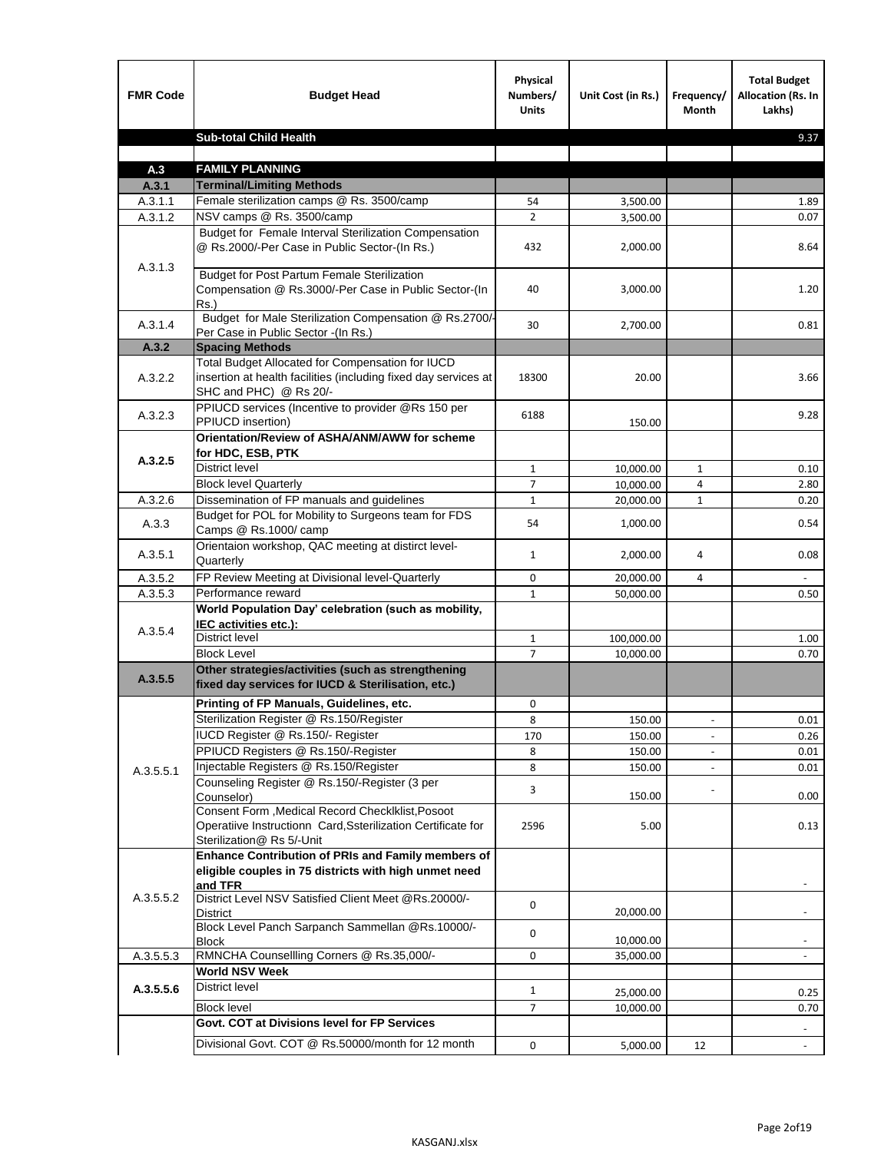| <b>FMR Code</b>    | <b>Budget Head</b>                                                                                                                             | Physical<br>Numbers/<br><b>Units</b> | Unit Cost (in Rs.) | Frequency/<br><b>Month</b>   | <b>Total Budget</b><br>Allocation (Rs. In<br>Lakhs) |
|--------------------|------------------------------------------------------------------------------------------------------------------------------------------------|--------------------------------------|--------------------|------------------------------|-----------------------------------------------------|
|                    | <b>Sub-total Child Health</b>                                                                                                                  |                                      |                    |                              | 9.37                                                |
|                    |                                                                                                                                                |                                      |                    |                              |                                                     |
| A.3                | <b>FAMILY PLANNING</b>                                                                                                                         |                                      |                    |                              |                                                     |
| A.3.1              | <b>Terminal/Limiting Methods</b>                                                                                                               |                                      |                    |                              |                                                     |
| A.3.1.1<br>A.3.1.2 | Female sterilization camps @ Rs. 3500/camp<br>NSV camps @ Rs. 3500/camp                                                                        | 54<br>$\overline{2}$                 | 3,500.00           |                              | 1.89<br>0.07                                        |
|                    | Budget for Female Interval Sterilization Compensation                                                                                          |                                      | 3,500.00           |                              |                                                     |
| A.3.1.3            | @ Rs.2000/-Per Case in Public Sector-(In Rs.)                                                                                                  | 432                                  | 2,000.00           |                              | 8.64                                                |
|                    | <b>Budget for Post Partum Female Sterilization</b><br>Compensation @ Rs.3000/-Per Case in Public Sector-(In<br>$Rs.$ )                         | 40                                   | 3,000.00           |                              | 1.20                                                |
| A.3.1.4            | Budget for Male Sterilization Compensation @ Rs.2700/-<br>Per Case in Public Sector -(In Rs.)                                                  | 30                                   | 2,700.00           |                              | 0.81                                                |
| A.3.2              | <b>Spacing Methods</b>                                                                                                                         |                                      |                    |                              |                                                     |
| A.3.2.2            | Total Budget Allocated for Compensation for IUCD<br>insertion at health facilities (including fixed day services at<br>SHC and PHC) @ Rs 20/-  | 18300                                | 20.00              |                              | 3.66                                                |
| A.3.2.3            | PPIUCD services (Incentive to provider @Rs 150 per<br>PPIUCD insertion)                                                                        | 6188                                 | 150.00             |                              | 9.28                                                |
|                    | Orientation/Review of ASHA/ANM/AWW for scheme<br>for HDC, ESB, PTK                                                                             |                                      |                    |                              |                                                     |
| A.3.2.5            | <b>District level</b>                                                                                                                          | $\mathbf{1}$                         | 10,000.00          | $\mathbf{1}$                 | 0.10                                                |
|                    | <b>Block level Quarterly</b>                                                                                                                   | 7                                    | 10,000.00          | 4                            | 2.80                                                |
| A.3.2.6            | Dissemination of FP manuals and guidelines                                                                                                     | $\mathbf{1}$                         | 20,000.00          | $\mathbf{1}$                 | 0.20                                                |
| A.3.3              | Budget for POL for Mobility to Surgeons team for FDS<br>Camps @ Rs.1000/ camp                                                                  | 54                                   | 1,000.00           |                              | 0.54                                                |
| A.3.5.1            | Orientaion workshop, QAC meeting at distirct level-<br>Quarterly                                                                               | $\mathbf{1}$                         | 2,000.00           | 4                            | 0.08                                                |
| A.3.5.2            | FP Review Meeting at Divisional level-Quarterly                                                                                                | 0                                    | 20,000.00          | 4                            |                                                     |
| A.3.5.3            | Performance reward                                                                                                                             | $\mathbf{1}$                         | 50,000.00          |                              | 0.50                                                |
| A.3.5.4            | World Population Day' celebration (such as mobility,<br>IEC activities etc.):                                                                  |                                      |                    |                              |                                                     |
|                    | District level                                                                                                                                 | $\mathbf{1}$                         | 100,000.00         |                              | 1.00                                                |
|                    | <b>Block Level</b>                                                                                                                             | $\overline{7}$                       | 10.000.00          |                              | 0.70                                                |
| A.3.5.5            | Other strategies/activities (such as strengthening<br>fixed day services for IUCD & Sterilisation, etc.)                                       |                                      |                    |                              |                                                     |
|                    | Printing of FP Manuals, Guidelines, etc.                                                                                                       | 0                                    |                    |                              |                                                     |
|                    | Sterilization Register @ Rs.150/Register                                                                                                       | 8                                    | 150.00             | $\qquad \qquad \blacksquare$ | 0.01                                                |
|                    | IUCD Register @ Rs.150/- Register                                                                                                              | 170                                  | 150.00             |                              | 0.26                                                |
|                    | PPIUCD Registers @ Rs.150/-Register                                                                                                            | 8                                    | 150.00             |                              | 0.01                                                |
| A.3.5.5.1          | Injectable Registers @ Rs.150/Register                                                                                                         | 8                                    | 150.00             |                              | 0.01                                                |
|                    | Counseling Register @ Rs.150/-Register (3 per<br>Counselor)                                                                                    | 3                                    | 150.00             |                              | 0.00                                                |
|                    | Consent Form , Medical Record CheckIklist, Posoot<br>Operatiive Instructionn Card, Ssterilization Certificate for<br>Sterilization@ Rs 5/-Unit | 2596                                 | 5.00               |                              | 0.13                                                |
|                    | Enhance Contribution of PRIs and Family members of<br>eligible couples in 75 districts with high unmet need<br>and TFR                         |                                      |                    |                              |                                                     |
| A.3.5.5.2          | District Level NSV Satisfied Client Meet @Rs.20000/-<br>District                                                                               | 0                                    | 20,000.00          |                              |                                                     |
|                    | Block Level Panch Sarpanch Sammellan @Rs.10000/-<br><b>Block</b>                                                                               | 0                                    | 10,000.00          |                              |                                                     |
| A.3.5.5.3          | RMNCHA Counsellling Corners @ Rs.35,000/-                                                                                                      | 0                                    | 35,000.00          |                              |                                                     |
|                    | <b>World NSV Week</b>                                                                                                                          |                                      |                    |                              |                                                     |
| A.3.5.5.6          | <b>District level</b>                                                                                                                          | $\mathbf{1}$                         | 25,000.00          |                              | 0.25                                                |
|                    | <b>Block level</b>                                                                                                                             | $\overline{7}$                       | 10,000.00          |                              | 0.70                                                |
|                    | Govt. COT at Divisions level for FP Services                                                                                                   |                                      |                    |                              |                                                     |
|                    | Divisional Govt. COT @ Rs.50000/month for 12 month                                                                                             | 0                                    | 5,000.00           | 12                           | $\blacksquare$                                      |
|                    |                                                                                                                                                |                                      |                    |                              |                                                     |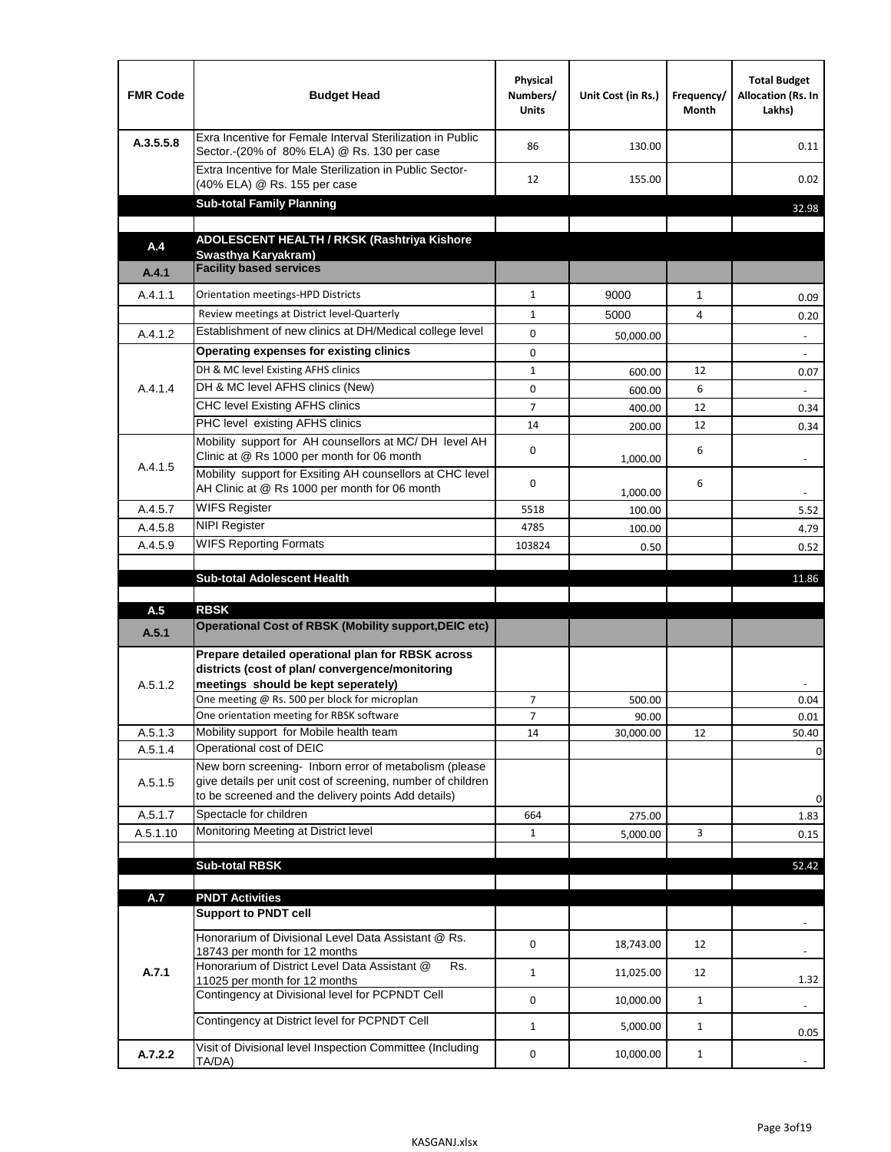| <b>FMR Code</b> | <b>Budget Head</b>                                                                                                                                                                          | Physical<br>Numbers/<br><b>Units</b> | Unit Cost (in Rs.) | Frequency/<br><b>Month</b> | <b>Total Budget</b><br>Allocation (Rs. In<br>Lakhs) |
|-----------------|---------------------------------------------------------------------------------------------------------------------------------------------------------------------------------------------|--------------------------------------|--------------------|----------------------------|-----------------------------------------------------|
| A.3.5.5.8       | Exra Incentive for Female Interval Sterilization in Public<br>Sector.-(20% of 80% ELA) @ Rs. 130 per case                                                                                   | 86                                   | 130.00             |                            | 0.11                                                |
|                 | Extra Incentive for Male Sterilization in Public Sector-<br>(40% ELA) @ Rs. 155 per case                                                                                                    | 12                                   | 155.00             |                            | 0.02                                                |
|                 | <b>Sub-total Family Planning</b>                                                                                                                                                            |                                      |                    |                            | 32.98                                               |
|                 | ADOLESCENT HEALTH / RKSK (Rashtriya Kishore                                                                                                                                                 |                                      |                    |                            |                                                     |
| A.4             | Swasthya Karyakram)                                                                                                                                                                         |                                      |                    |                            |                                                     |
| A.4.1           | <b>Facility based services</b>                                                                                                                                                              |                                      |                    |                            |                                                     |
| A.4.1.1         | Orientation meetings-HPD Districts                                                                                                                                                          | $\mathbf{1}$                         | 9000               | $\mathbf{1}$               | 0.09                                                |
|                 | Review meetings at District level-Quarterly                                                                                                                                                 | $\mathbf{1}$                         | 5000               | 4                          | 0.20                                                |
| A.4.1.2         | Establishment of new clinics at DH/Medical college level                                                                                                                                    | 0                                    | 50,000.00          |                            | $\overline{\phantom{a}}$                            |
|                 | Operating expenses for existing clinics                                                                                                                                                     | 0                                    |                    |                            |                                                     |
|                 | DH & MC level Existing AFHS clinics                                                                                                                                                         | $\mathbf{1}$                         | 600.00             | 12                         | 0.07                                                |
| A.4.1.4         | DH & MC level AFHS clinics (New)                                                                                                                                                            | 0                                    | 600.00             | 6                          |                                                     |
|                 | CHC level Existing AFHS clinics                                                                                                                                                             | $\overline{7}$                       | 400.00             | 12                         | 0.34                                                |
|                 | PHC level existing AFHS clinics                                                                                                                                                             | 14                                   | 200.00             | 12                         | 0.34                                                |
| A.4.1.5         | Mobility support for AH counsellors at MC/DH level AH<br>Clinic at @ Rs 1000 per month for 06 month                                                                                         | 0                                    | 1,000.00           | 6                          |                                                     |
|                 | Mobility support for Exsiting AH counsellors at CHC level<br>AH Clinic at @ Rs 1000 per month for 06 month                                                                                  | 0                                    | 1,000.00           | 6                          | $\overline{\phantom{a}}$                            |
| A.4.5.7         | <b>WIFS Register</b>                                                                                                                                                                        | 5518                                 | 100.00             |                            | 5.52                                                |
| A.4.5.8         | <b>NIPI Register</b>                                                                                                                                                                        | 4785                                 | 100.00             |                            | 4.79                                                |
| A.4.5.9         | <b>WIFS Reporting Formats</b>                                                                                                                                                               | 103824                               | 0.50               |                            | 0.52                                                |
|                 | <b>Sub-total Adolescent Health</b>                                                                                                                                                          |                                      |                    |                            | 11.86                                               |
| A.5             | <b>RBSK</b>                                                                                                                                                                                 |                                      |                    |                            |                                                     |
| A.5.1           | <b>Operational Cost of RBSK (Mobility support, DEIC etc)</b>                                                                                                                                |                                      |                    |                            |                                                     |
| A.5.1.2         | Prepare detailed operational plan for RBSK across<br>districts (cost of plan/convergence/monitoring<br>meetings should be kept seperately)<br>One meeting @ Rs. 500 per block for microplan | 7                                    | 500.00             |                            | 0.04                                                |
|                 | One orientation meeting for RBSK software                                                                                                                                                   | 7                                    | 90.00              |                            | 0.01                                                |
| A.5.1.3         | Mobility support for Mobile health team                                                                                                                                                     | 14                                   | 30,000.00          | 12                         | 50.40                                               |
| A.5.1.4         | Operational cost of DEIC                                                                                                                                                                    |                                      |                    |                            | $\mathbf 0$                                         |
| A.5.1.5         | New born screening- Inborn error of metabolism (please<br>give details per unit cost of screening, number of children<br>to be screened and the delivery points Add details)                |                                      |                    |                            | 0                                                   |
| A.5.1.7         | Spectacle for children                                                                                                                                                                      | 664                                  | 275.00             |                            | 1.83                                                |
| A.5.1.10        | Monitoring Meeting at District level                                                                                                                                                        | $\mathbf{1}$                         | 5,000.00           | 3                          | 0.15                                                |
|                 |                                                                                                                                                                                             |                                      |                    |                            |                                                     |
|                 | <b>Sub-total RBSK</b>                                                                                                                                                                       |                                      |                    |                            | 52.42                                               |
| A.7             | <b>PNDT Activities</b>                                                                                                                                                                      |                                      |                    |                            |                                                     |
|                 | <b>Support to PNDT cell</b>                                                                                                                                                                 |                                      |                    |                            |                                                     |
|                 | Honorarium of Divisional Level Data Assistant @ Rs.<br>18743 per month for 12 months                                                                                                        | 0                                    | 18,743.00          | 12                         |                                                     |
| A.7.1           | Honorarium of District Level Data Assistant @<br>Rs.<br>11025 per month for 12 months                                                                                                       | $\mathbf{1}$                         | 11,025.00          | 12                         | 1.32                                                |
|                 | Contingency at Divisional level for PCPNDT Cell                                                                                                                                             | 0                                    | 10,000.00          | $\mathbf{1}$               | $\overline{\phantom{a}}$                            |
|                 | Contingency at District level for PCPNDT Cell                                                                                                                                               | $\mathbf{1}$                         | 5,000.00           | $\mathbf{1}$               | 0.05                                                |
| A.7.2.2         | Visit of Divisional level Inspection Committee (Including<br>TA/DA)                                                                                                                         | 0                                    | 10,000.00          | $\mathbf{1}$               |                                                     |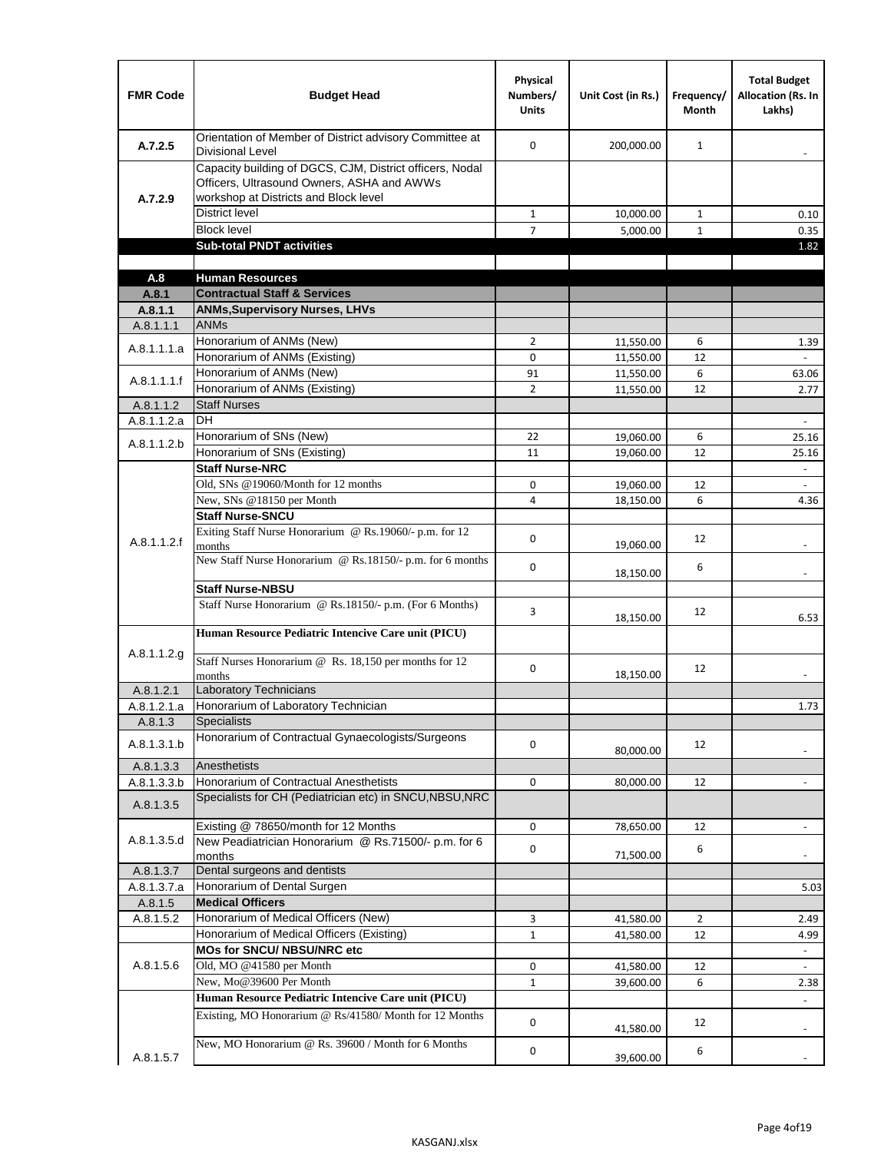| <b>FMR Code</b> | <b>Budget Head</b>                                                                                                                              | Physical<br>Numbers/<br><b>Units</b> | Unit Cost (in Rs.) | Frequency/<br>Month | <b>Total Budget</b><br>Allocation (Rs. In<br>Lakhs) |
|-----------------|-------------------------------------------------------------------------------------------------------------------------------------------------|--------------------------------------|--------------------|---------------------|-----------------------------------------------------|
| A.7.2.5         | Orientation of Member of District advisory Committee at<br>Divisional Level                                                                     | $\Omega$                             | 200,000.00         | $\mathbf{1}$        | $\overline{\phantom{a}}$                            |
| A.7.2.9         | Capacity building of DGCS, CJM, District officers, Nodal<br>Officers, Ultrasound Owners, ASHA and AWWs<br>workshop at Districts and Block level |                                      |                    |                     |                                                     |
|                 | <b>District level</b>                                                                                                                           | $\mathbf{1}$                         | 10,000.00          | $\mathbf{1}$        | 0.10                                                |
|                 | <b>Block level</b>                                                                                                                              | $\overline{7}$                       | 5,000.00           | $\mathbf{1}$        | 0.35                                                |
|                 | <b>Sub-total PNDT activities</b>                                                                                                                |                                      |                    |                     | 1.82                                                |
|                 |                                                                                                                                                 |                                      |                    |                     |                                                     |
| A.8             | <b>Human Resources</b>                                                                                                                          |                                      |                    |                     |                                                     |
| A.8.1           | <b>Contractual Staff &amp; Services</b>                                                                                                         |                                      |                    |                     |                                                     |
| A.8.1.1         | <b>ANMs, Supervisory Nurses, LHVs</b>                                                                                                           |                                      |                    |                     |                                                     |
| A.8.1.1.1       | <b>ANMs</b>                                                                                                                                     |                                      |                    |                     |                                                     |
| A.8.1.1.1.a     | Honorarium of ANMs (New)                                                                                                                        | $\overline{2}$                       | 11,550.00          | 6                   | 1.39                                                |
|                 | Honorarium of ANMs (Existing)                                                                                                                   | 0                                    | 11,550.00          | 12                  |                                                     |
| A.8.1.1.1.f     | Honorarium of ANMs (New)                                                                                                                        | 91                                   | 11,550.00          | 6                   | 63.06                                               |
|                 | Honorarium of ANMs (Existing)                                                                                                                   | $\overline{2}$                       | 11,550.00          | 12                  | 2.77                                                |
| A.8.1.1.2       | <b>Staff Nurses</b>                                                                                                                             |                                      |                    |                     |                                                     |
| A.8.1.1.2.a     | <b>DH</b>                                                                                                                                       |                                      |                    |                     | $\blacksquare$                                      |
| A.8.1.1.2.b     | Honorarium of SNs (New)                                                                                                                         | 22                                   | 19,060.00          | 6                   | 25.16                                               |
|                 | Honorarium of SNs (Existing)                                                                                                                    | 11                                   | 19,060.00          | 12                  | 25.16                                               |
|                 | <b>Staff Nurse-NRC</b>                                                                                                                          |                                      |                    |                     | $\omega$                                            |
|                 | Old, SNs @19060/Month for 12 months                                                                                                             | 0                                    | 19,060.00          | 12                  | $\blacksquare$                                      |
|                 | New, SNs @18150 per Month                                                                                                                       | 4                                    | 18,150.00          | 6                   | 4.36                                                |
|                 | <b>Staff Nurse-SNCU</b>                                                                                                                         |                                      |                    |                     |                                                     |
| A.8.1.1.2.f     | Exiting Staff Nurse Honorarium @ Rs.19060/- p.m. for 12<br>months                                                                               | 0                                    | 19,060.00          | 12                  |                                                     |
|                 | New Staff Nurse Honorarium @ Rs.18150/- p.m. for 6 months                                                                                       | 0                                    | 18,150.00          | 6                   |                                                     |
|                 | <b>Staff Nurse-NBSU</b>                                                                                                                         |                                      |                    |                     |                                                     |
|                 | Staff Nurse Honorarium @ Rs.18150/- p.m. (For 6 Months)                                                                                         | 3                                    | 18,150.00          | 12                  | 6.53                                                |
|                 | Human Resource Pediatric Intencive Care unit (PICU)                                                                                             |                                      |                    |                     |                                                     |
| A.8.1.1.2.g     | Staff Nurses Honorarium @ $\overline{Rs. 18,150}$ per months for 12<br>months                                                                   | 0                                    | 18,150.00          | 12                  |                                                     |
| A.8.1.2.1       | <b>Laboratory Technicians</b>                                                                                                                   |                                      |                    |                     |                                                     |
| A.8.1.2.1.a     | Honorarium of Laboratory Technician                                                                                                             |                                      |                    |                     | 1.73                                                |
| A.8.1.3         | <b>Specialists</b>                                                                                                                              |                                      |                    |                     |                                                     |
| A.8.1.3.1.b     | Honorarium of Contractual Gynaecologists/Surgeons                                                                                               | 0                                    | 80,000.00          | 12                  |                                                     |
| A.8.1.3.3       | Anesthetists                                                                                                                                    |                                      |                    |                     |                                                     |
| A.8.1.3.3.b     | Honorarium of Contractual Anesthetists                                                                                                          | 0                                    | 80,000.00          | 12                  |                                                     |
| A.8.1.3.5       | Specialists for CH (Pediatrician etc) in SNCU, NBSU, NRC                                                                                        |                                      |                    |                     |                                                     |
|                 | Existing @ 78650/month for 12 Months                                                                                                            | 0                                    | 78,650.00          | 12                  | $\blacksquare$                                      |
| A.8.1.3.5.d     | New Peadiatrician Honorarium @ Rs.71500/- p.m. for 6<br>months                                                                                  | 0                                    | 71,500.00          | 6                   |                                                     |
| A.8.1.3.7       | Dental surgeons and dentists                                                                                                                    |                                      |                    |                     |                                                     |
| A.8.1.3.7.a     | Honorarium of Dental Surgen                                                                                                                     |                                      |                    |                     | 5.03                                                |
| A.8.1.5         | <b>Medical Officers</b>                                                                                                                         |                                      |                    |                     |                                                     |
| A.8.1.5.2       | Honorarium of Medical Officers (New)                                                                                                            | 3                                    | 41,580.00          | $\overline{2}$      | 2.49                                                |
|                 | Honorarium of Medical Officers (Existing)                                                                                                       | $\mathbf{1}$                         | 41,580.00          | 12                  | 4.99                                                |
|                 | MOs for SNCU/ NBSU/NRC etc                                                                                                                      |                                      |                    |                     |                                                     |
| A.8.1.5.6       | Old, MO @41580 per Month                                                                                                                        | 0                                    | 41,580.00          | 12                  | $\blacksquare$                                      |
|                 | New, Mo@39600 Per Month                                                                                                                         | $\mathbf{1}$                         | 39,600.00          | 6                   | 2.38                                                |
|                 | Human Resource Pediatric Intencive Care unit (PICU)                                                                                             |                                      |                    |                     |                                                     |
|                 | Existing, MO Honorarium @ Rs/41580/ Month for 12 Months                                                                                         | $\mathbf 0$                          | 41,580.00          | 12                  |                                                     |
| A.8.1.5.7       | New, MO Honorarium @ Rs. 39600 / Month for 6 Months                                                                                             | 0                                    | 39,600.00          | 6                   |                                                     |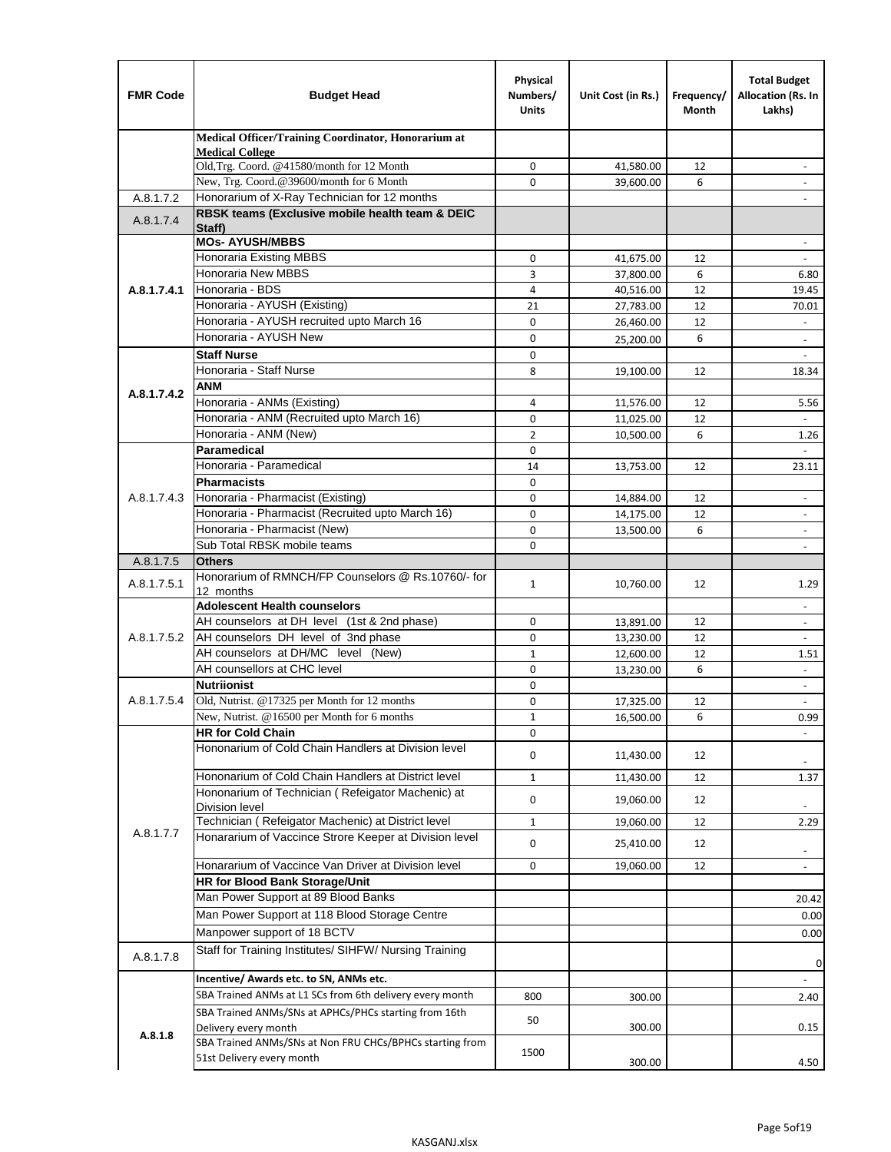| <b>FMR Code</b> | <b>Budget Head</b>                                                               | Physical<br>Numbers/<br><b>Units</b> | Unit Cost (in Rs.)     | Frequency/<br>Month | <b>Total Budget</b><br>Allocation (Rs. In<br>Lakhs) |
|-----------------|----------------------------------------------------------------------------------|--------------------------------------|------------------------|---------------------|-----------------------------------------------------|
|                 | Medical Officer/Training Coordinator, Honorarium at                              |                                      |                        |                     |                                                     |
|                 | <b>Medical College</b><br>Old, Trg. Coord. @41580/month for 12 Month             | 0                                    | 41,580.00              | 12                  |                                                     |
|                 | New, Trg. Coord.@39600/month for 6 Month                                         | $\Omega$                             | 39,600.00              | 6                   |                                                     |
| A.8.1.7.2       | Honorarium of X-Ray Technician for 12 months                                     |                                      |                        |                     |                                                     |
| A.8.1.7.4       | RBSK teams (Exclusive mobile health team & DEIC<br>Staff)                        |                                      |                        |                     |                                                     |
|                 | <b>MOs- AYUSH/MBBS</b>                                                           |                                      |                        |                     |                                                     |
|                 | Honoraria Existing MBBS                                                          | 0                                    | 41,675.00              | 12                  | $\blacksquare$                                      |
|                 | Honoraria New MBBS                                                               | 3                                    | 37,800.00              | 6                   | 6.80                                                |
| A.8.1.7.4.1     | Honoraria - BDS                                                                  | 4                                    | 40,516.00              | 12                  | 19.45                                               |
|                 | Honoraria - AYUSH (Existing)                                                     | 21                                   | 27,783.00              | 12                  | 70.01                                               |
|                 | Honoraria - AYUSH recruited upto March 16                                        | $\mathbf 0$                          | 26,460.00              | 12                  |                                                     |
|                 | Honoraria - AYUSH New                                                            | $\mathbf 0$                          | 25,200.00              | 6                   |                                                     |
|                 | <b>Staff Nurse</b>                                                               | $\mathbf 0$                          |                        |                     | $\mathbf{r}$                                        |
|                 | Honoraria - Staff Nurse                                                          | 8                                    | 19,100.00              | 12                  | 18.34                                               |
| A.8.1.7.4.2     | ANM                                                                              |                                      |                        |                     |                                                     |
|                 | Honoraria - ANMs (Existing)<br>Honoraria - ANM (Recruited upto March 16)         | 4                                    | 11,576.00              | 12                  | 5.56                                                |
|                 | Honoraria - ANM (New)                                                            | 0<br>$\overline{2}$                  | 11,025.00<br>10,500.00 | 12<br>6             | 1.26                                                |
|                 | <b>Paramedical</b>                                                               | $\mathbf 0$                          |                        |                     | $\omega$                                            |
|                 | Honoraria - Paramedical                                                          | 14                                   | 13,753.00              | 12                  | 23.11                                               |
|                 | <b>Pharmacists</b>                                                               | $\mathbf 0$                          |                        |                     |                                                     |
| A.8.1.7.4.3     | Honoraria - Pharmacist (Existing)                                                | 0                                    | 14,884.00              | 12                  | $\overline{\phantom{a}}$                            |
|                 | Honoraria - Pharmacist (Recruited upto March 16)                                 | $\mathbf 0$                          | 14,175.00              | 12                  | $\blacksquare$                                      |
|                 | Honoraria - Pharmacist (New)                                                     | $\mathbf 0$                          | 13,500.00              | 6                   | $\blacksquare$                                      |
|                 | Sub Total RBSK mobile teams                                                      | $\Omega$                             |                        |                     | $\overline{\phantom{a}}$                            |
| A.8.1.7.5       | <b>Others</b>                                                                    |                                      |                        |                     |                                                     |
| A.8.1.7.5.1     | Honorarium of RMNCH/FP Counselors @ Rs.10760/- for<br>12 months                  | $\mathbf{1}$                         | 10,760.00              | 12                  | 1.29                                                |
|                 | <b>Adolescent Health counselors</b>                                              |                                      |                        |                     | $\blacksquare$                                      |
|                 | AH counselors at DH level (1st & 2nd phase)                                      | $\mathbf 0$                          | 13,891.00              | 12                  | $\overline{\phantom{a}}$                            |
| A.8.1.7.5.2     | AH counselors DH level of 3nd phase                                              | 0                                    | 13,230.00              | 12                  | $\overline{\phantom{a}}$                            |
|                 | AH counselors at DH/MC level (New)                                               | $\mathbf{1}$                         | 12,600.00              | 12                  | 1.51                                                |
|                 | AH counsellors at CHC level                                                      | $\mathbf 0$                          | 13,230.00              | 6                   | $\blacksquare$                                      |
|                 | <b>Nutriionist</b>                                                               | $\mathbf 0$                          |                        |                     | $\overline{\phantom{a}}$                            |
| A.8.1.7.5.4     | Old, Nutrist. @17325 per Month for 12 months                                     | $\mathbf 0$                          | 17,325.00              | 12                  | $\overline{\phantom{a}}$                            |
|                 | New, Nutrist. @16500 per Month for 6 months                                      | 1                                    | 16,500.00              | 6                   | 0.99                                                |
|                 | <b>HR for Cold Chain</b>                                                         | 0                                    |                        |                     |                                                     |
|                 | Hononarium of Cold Chain Handlers at Division level                              | 0                                    | 11,430.00              | 12                  |                                                     |
|                 | Hononarium of Cold Chain Handlers at District level                              | 1                                    | 11,430.00              | 12                  | 1.37                                                |
|                 | Hononarium of Technician (Refeigator Machenic) at<br><b>Division level</b>       | 0                                    | 19,060.00              | 12                  |                                                     |
|                 | Technician (Refeigator Machenic) at District level                               | $\mathbf{1}$                         | 19,060.00              | 12                  | 2.29                                                |
| A.8.1.7.7       | Honararium of Vaccince Strore Keeper at Division level                           | 0                                    | 25,410.00              | 12                  |                                                     |
|                 | Honararium of Vaccince Van Driver at Division level                              | 0                                    | 19,060.00              | 12                  | $\overline{\phantom{a}}$<br>$\blacksquare$          |
|                 | <b>HR for Blood Bank Storage/Unit</b>                                            |                                      |                        |                     |                                                     |
|                 | Man Power Support at 89 Blood Banks                                              |                                      |                        |                     | 20.42                                               |
|                 | Man Power Support at 118 Blood Storage Centre                                    |                                      |                        |                     | 0.00                                                |
|                 | Manpower support of 18 BCTV                                                      |                                      |                        |                     | 0.00                                                |
| A.8.1.7.8       | Staff for Training Institutes/ SIHFW/ Nursing Training                           |                                      |                        |                     |                                                     |
|                 | Incentive/ Awards etc. to SN, ANMs etc.                                          |                                      |                        |                     | 0                                                   |
|                 | SBA Trained ANMs at L1 SCs from 6th delivery every month                         | 800                                  | 300.00                 |                     | 2.40                                                |
|                 | SBA Trained ANMs/SNs at APHCs/PHCs starting from 16th                            | 50                                   |                        |                     |                                                     |
| A.8.1.8         | Delivery every month<br>SBA Trained ANMs/SNs at Non FRU CHCs/BPHCs starting from |                                      | 300.00                 |                     | 0.15                                                |
|                 | 51st Delivery every month                                                        | 1500                                 | 300.00                 |                     | 4.50                                                |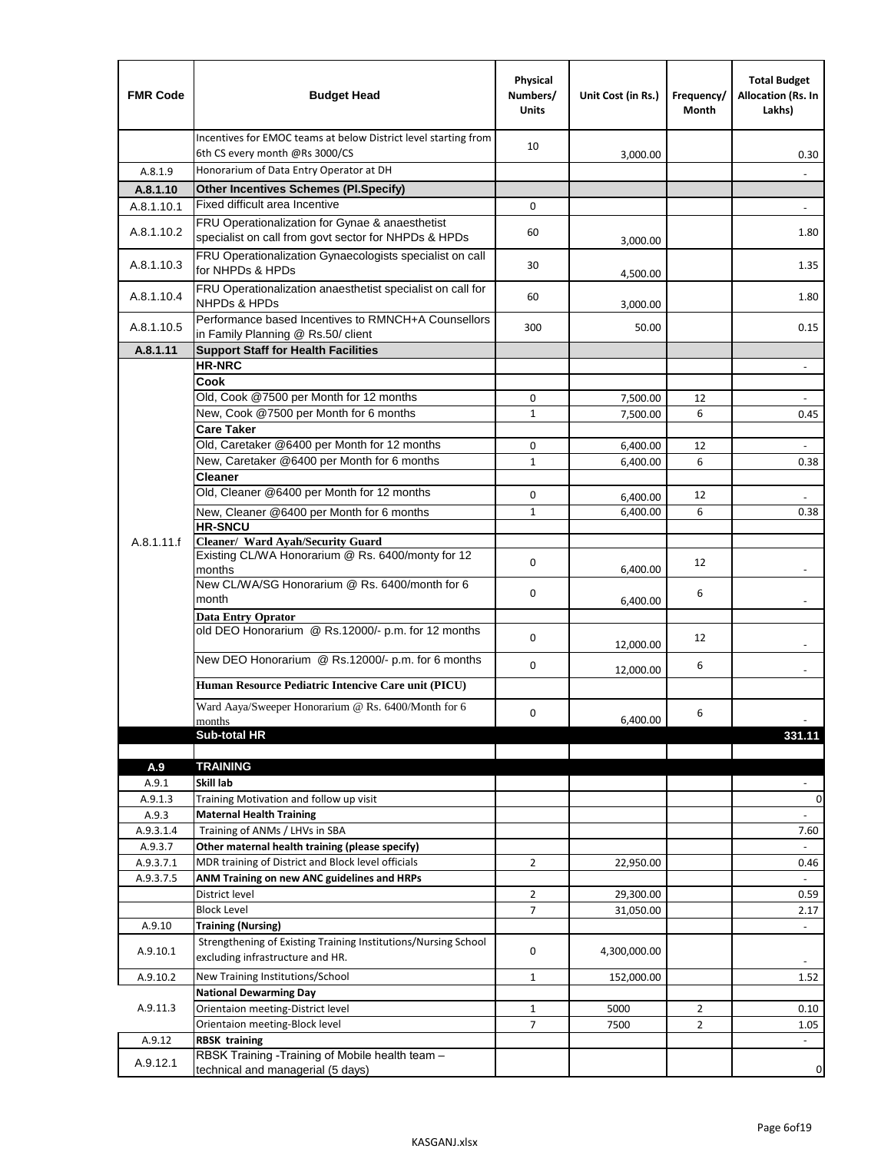| <b>FMR Code</b> | <b>Budget Head</b>                                                                                      | Physical<br>Numbers/<br><b>Units</b> | Unit Cost (in Rs.) | Frequency/<br>Month | <b>Total Budget</b><br>Allocation (Rs. In<br>Lakhs) |
|-----------------|---------------------------------------------------------------------------------------------------------|--------------------------------------|--------------------|---------------------|-----------------------------------------------------|
|                 | Incentives for EMOC teams at below District level starting from<br>6th CS every month @Rs 3000/CS       | 10                                   | 3,000.00           |                     | 0.30                                                |
| A.8.1.9         | Honorarium of Data Entry Operator at DH                                                                 |                                      |                    |                     |                                                     |
| A.8.1.10        | <b>Other Incentives Schemes (Pl.Specify)</b>                                                            |                                      |                    |                     |                                                     |
| A.8.1.10.1      | Fixed difficult area Incentive                                                                          | 0                                    |                    |                     |                                                     |
| A.8.1.10.2      | FRU Operationalization for Gynae & anaesthetist<br>specialist on call from govt sector for NHPDs & HPDs | 60                                   | 3,000.00           |                     | 1.80                                                |
| A.8.1.10.3      | FRU Operationalization Gynaecologists specialist on call<br>for NHPDs & HPDs                            | 30                                   | 4,500.00           |                     | 1.35                                                |
| A.8.1.10.4      | FRU Operationalization anaesthetist specialist on call for<br><b>NHPDs &amp; HPDs</b>                   | 60                                   | 3,000.00           |                     | 1.80                                                |
| A.8.1.10.5      | Performance based Incentives to RMNCH+A Counsellors<br>in Family Planning @ Rs.50/ client               | 300                                  | 50.00              |                     | 0.15                                                |
| A.8.1.11        | <b>Support Staff for Health Facilities</b>                                                              |                                      |                    |                     |                                                     |
|                 | <b>HR-NRC</b>                                                                                           |                                      |                    |                     | $\overline{\phantom{m}}$                            |
|                 | Cook                                                                                                    |                                      |                    |                     |                                                     |
|                 | Old, Cook @7500 per Month for 12 months                                                                 | 0                                    | 7,500.00           | 12                  | ÷,                                                  |
|                 | New, Cook @7500 per Month for 6 months<br><b>Care Taker</b>                                             | 1                                    | 7,500.00           | 6                   | 0.45                                                |
|                 | Old, Caretaker @6400 per Month for 12 months                                                            | 0                                    | 6,400.00           | 12                  | $\overline{\phantom{a}}$                            |
|                 | New, Caretaker @6400 per Month for 6 months                                                             | $\mathbf 1$                          | 6,400.00           | 6                   | 0.38                                                |
|                 | <b>Cleaner</b>                                                                                          |                                      |                    |                     |                                                     |
|                 | Old, Cleaner @6400 per Month for 12 months                                                              | 0                                    | 6,400.00           | 12                  |                                                     |
|                 | New, Cleaner @6400 per Month for 6 months                                                               | $\mathbf{1}$                         | 6,400.00           | 6                   | 0.38                                                |
|                 | <b>HR-SNCU</b>                                                                                          |                                      |                    |                     |                                                     |
| A.8.1.11.f      | Cleaner/ Ward Ayah/Security Guard                                                                       |                                      |                    |                     |                                                     |
|                 | Existing CL/WA Honorarium @ Rs. 6400/monty for 12<br>months                                             | 0                                    | 6,400.00           | 12                  |                                                     |
|                 | New CL/WA/SG Honorarium @ Rs. 6400/month for 6<br>month                                                 | 0                                    | 6,400.00           | 6                   |                                                     |
|                 | <b>Data Entry Oprator</b><br>old DEO Honorarium @ Rs.12000/- p.m. for 12 months                         |                                      |                    |                     |                                                     |
|                 |                                                                                                         | 0                                    | 12,000.00          | 12                  |                                                     |
|                 | New DEO Honorarium @ Rs.12000/- p.m. for 6 months                                                       | 0                                    | 12,000.00          | 6                   |                                                     |
|                 | Human Resource Pediatric Intencive Care unit (PICU)                                                     |                                      |                    |                     |                                                     |
|                 | Ward Aaya/Sweeper Honorarium @ Rs. 6400/Month for 6                                                     | 0                                    |                    | 6                   |                                                     |
|                 | months                                                                                                  |                                      | 6,400.00           |                     |                                                     |
|                 | Sub-total HR                                                                                            |                                      |                    |                     | 331.11                                              |
| A.9             | <b>TRAINING</b>                                                                                         |                                      |                    |                     |                                                     |
| A.9.1           | Skill lab                                                                                               |                                      |                    |                     |                                                     |
| A.9.1.3         | Training Motivation and follow up visit                                                                 |                                      |                    |                     | 0                                                   |
| A.9.3           | <b>Maternal Health Training</b>                                                                         |                                      |                    |                     | $\blacksquare$                                      |
| A.9.3.1.4       | Training of ANMs / LHVs in SBA                                                                          |                                      |                    |                     | 7.60                                                |
| A.9.3.7         | Other maternal health training (please specify)                                                         |                                      |                    |                     |                                                     |
| A.9.3.7.1       | MDR training of District and Block level officials                                                      | $\overline{2}$                       | 22,950.00          |                     | 0.46                                                |
| A.9.3.7.5       | ANM Training on new ANC guidelines and HRPs                                                             |                                      |                    |                     |                                                     |
|                 | District level                                                                                          | $\overline{2}$                       | 29,300.00          |                     | 0.59                                                |
|                 | <b>Block Level</b>                                                                                      | 7                                    | 31,050.00          |                     | 2.17                                                |
| A.9.10          | <b>Training (Nursing)</b><br>Strengthening of Existing Training Institutions/Nursing School             |                                      |                    |                     | $\blacksquare$                                      |
| A.9.10.1        | excluding infrastructure and HR.                                                                        | 0                                    | 4,300,000.00       |                     |                                                     |
| A.9.10.2        | New Training Institutions/School                                                                        | $\mathbf{1}$                         | 152,000.00         |                     | 1.52                                                |
|                 | <b>National Dewarming Day</b>                                                                           |                                      |                    |                     |                                                     |
| A.9.11.3        | Orientaion meeting-District level                                                                       | 1                                    | 5000               | $\overline{2}$      | 0.10                                                |
|                 | Orientaion meeting-Block level                                                                          | $\overline{7}$                       | 7500               | $\overline{2}$      | 1.05                                                |
| A.9.12          | <b>RBSK training</b>                                                                                    |                                      |                    |                     |                                                     |
| A.9.12.1        | RBSK Training -Training of Mobile health team -<br>technical and managerial (5 days)                    |                                      |                    |                     | 0                                                   |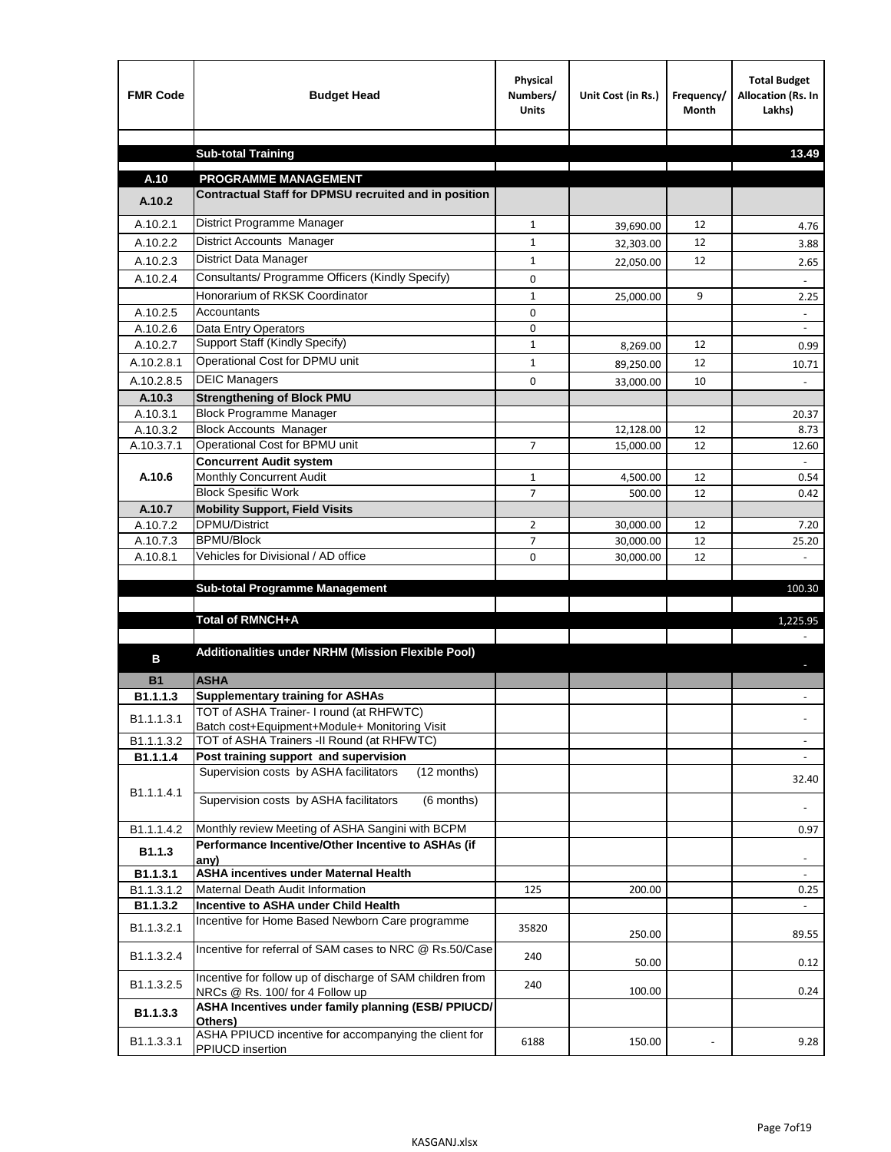| <b>FMR Code</b>       | <b>Budget Head</b>                                                                           | Physical<br>Numbers/<br><b>Units</b> | Unit Cost (in Rs.) | Frequency/<br><b>Month</b> | <b>Total Budget</b><br>Allocation (Rs. In<br>Lakhs) |
|-----------------------|----------------------------------------------------------------------------------------------|--------------------------------------|--------------------|----------------------------|-----------------------------------------------------|
|                       | <b>Sub-total Training</b>                                                                    |                                      |                    |                            | 13.49                                               |
|                       |                                                                                              |                                      |                    |                            |                                                     |
| A.10                  | <b>PROGRAMME MANAGEMENT</b>                                                                  |                                      |                    |                            |                                                     |
| A.10.2                | Contractual Staff for DPMSU recruited and in position                                        |                                      |                    |                            |                                                     |
| A.10.2.1              | District Programme Manager                                                                   | $\mathbf{1}$                         | 39,690.00          | 12                         | 4.76                                                |
| A.10.2.2              | District Accounts Manager                                                                    | 1                                    | 32,303.00          | 12                         | 3.88                                                |
| A.10.2.3              | District Data Manager                                                                        | $\mathbf{1}$                         | 22,050.00          | 12                         | 2.65                                                |
| A.10.2.4              | Consultants/ Programme Officers (Kindly Specify)                                             | $\mathbf 0$                          |                    |                            |                                                     |
|                       | Honorarium of RKSK Coordinator                                                               | $\mathbf{1}$                         | 25,000.00          | 9                          | 2.25                                                |
| A.10.2.5              | Accountants                                                                                  | 0                                    |                    |                            |                                                     |
| A.10.2.6              | Data Entry Operators                                                                         | 0                                    |                    |                            | $\overline{\phantom{a}}$                            |
| A.10.2.7              | Support Staff (Kindly Specify)                                                               | $\mathbf{1}$                         | 8,269.00           | 12                         | 0.99                                                |
| A.10.2.8.1            | Operational Cost for DPMU unit                                                               | $\mathbf{1}$                         | 89,250.00          | 12                         | 10.71                                               |
| A.10.2.8.5            | <b>DEIC Managers</b>                                                                         | $\mathbf 0$                          | 33,000.00          | 10                         |                                                     |
| A.10.3                | <b>Strengthening of Block PMU</b>                                                            |                                      |                    |                            |                                                     |
| A.10.3.1              | <b>Block Programme Manager</b>                                                               |                                      |                    |                            | 20.37                                               |
| A.10.3.2              | <b>Block Accounts Manager</b>                                                                |                                      | 12,128.00          | 12                         | 8.73                                                |
| A.10.3.7.1            | Operational Cost for BPMU unit<br><b>Concurrent Audit system</b>                             | 7                                    | 15,000.00          | 12                         | 12.60                                               |
| A.10.6                | Monthly Concurrent Audit                                                                     | $\mathbf{1}$                         | 4,500.00           | 12                         | 0.54                                                |
|                       | <b>Block Spesific Work</b>                                                                   | 7                                    | 500.00             | 12                         | 0.42                                                |
| A.10.7                | <b>Mobility Support, Field Visits</b>                                                        |                                      |                    |                            |                                                     |
| A.10.7.2              | <b>DPMU/District</b>                                                                         | $\overline{2}$                       | 30,000.00          | 12                         | 7.20                                                |
| A.10.7.3              | <b>BPMU/Block</b>                                                                            | 7                                    | 30,000.00          | 12                         | 25.20                                               |
| A.10.8.1              | Vehicles for Divisional / AD office                                                          | 0                                    | 30,000.00          | 12                         | $\omega$                                            |
|                       | <b>Sub-total Programme Management</b>                                                        |                                      |                    |                            | 100.30                                              |
|                       |                                                                                              |                                      |                    |                            |                                                     |
|                       | Total of RMNCH+A                                                                             |                                      |                    |                            | 1,225.95                                            |
|                       |                                                                                              |                                      |                    |                            |                                                     |
| в                     | Additionalities under NRHM (Mission Flexible Pool)                                           |                                      |                    |                            |                                                     |
|                       |                                                                                              |                                      |                    |                            |                                                     |
| <b>B1</b><br>B1.1.1.3 | <b>ASHA</b><br><b>Supplementary training for ASHAs</b>                                       |                                      |                    |                            |                                                     |
|                       | TOT of ASHA Trainer- I round (at RHFWTC)                                                     |                                      |                    |                            |                                                     |
| B1.1.1.3.1            | Batch cost+Equipment+Module+ Monitoring Visit                                                |                                      |                    |                            |                                                     |
| B1.1.1.3.2            | TOT of ASHA Trainers -II Round (at RHFWTC)                                                   |                                      |                    |                            |                                                     |
| B1.1.1.4              | Post training support and supervision                                                        |                                      |                    |                            | $\sim$                                              |
|                       | Supervision costs by ASHA facilitators<br>(12 months)                                        |                                      |                    |                            | 32.40                                               |
| B1.1.1.4.1            | Supervision costs by ASHA facilitators<br>(6 months)                                         |                                      |                    |                            |                                                     |
|                       |                                                                                              |                                      |                    |                            |                                                     |
| B1.1.1.4.2            | Monthly review Meeting of ASHA Sangini with BCPM                                             |                                      |                    |                            | 0.97                                                |
| B <sub>1.1.3</sub>    | Performance Incentive/Other Incentive to ASHAs (if                                           |                                      |                    |                            |                                                     |
| B1.1.3.1              | any)<br><b>ASHA incentives under Maternal Health</b>                                         |                                      |                    |                            |                                                     |
| B1.1.3.1.2            | Maternal Death Audit Information                                                             | 125                                  | 200.00             |                            | 0.25                                                |
| B1.1.3.2              | Incentive to ASHA under Child Health                                                         |                                      |                    |                            | ÷.                                                  |
| B1.1.3.2.1            | Incentive for Home Based Newborn Care programme                                              | 35820                                | 250.00             |                            | 89.55                                               |
| B1.1.3.2.4            | Incentive for referral of SAM cases to NRC @ Rs.50/Case                                      | 240                                  | 50.00              |                            | 0.12                                                |
| B1.1.3.2.5            | Incentive for follow up of discharge of SAM children from<br>NRCs @ Rs. 100/ for 4 Follow up | 240                                  | 100.00             |                            | 0.24                                                |
| B1.1.3.3              | ASHA Incentives under family planning (ESB/ PPIUCD/<br>Others)                               |                                      |                    |                            |                                                     |
| B1.1.3.3.1            | ASHA PPIUCD incentive for accompanying the client for<br>PPIUCD insertion                    | 6188                                 | 150.00             |                            | 9.28                                                |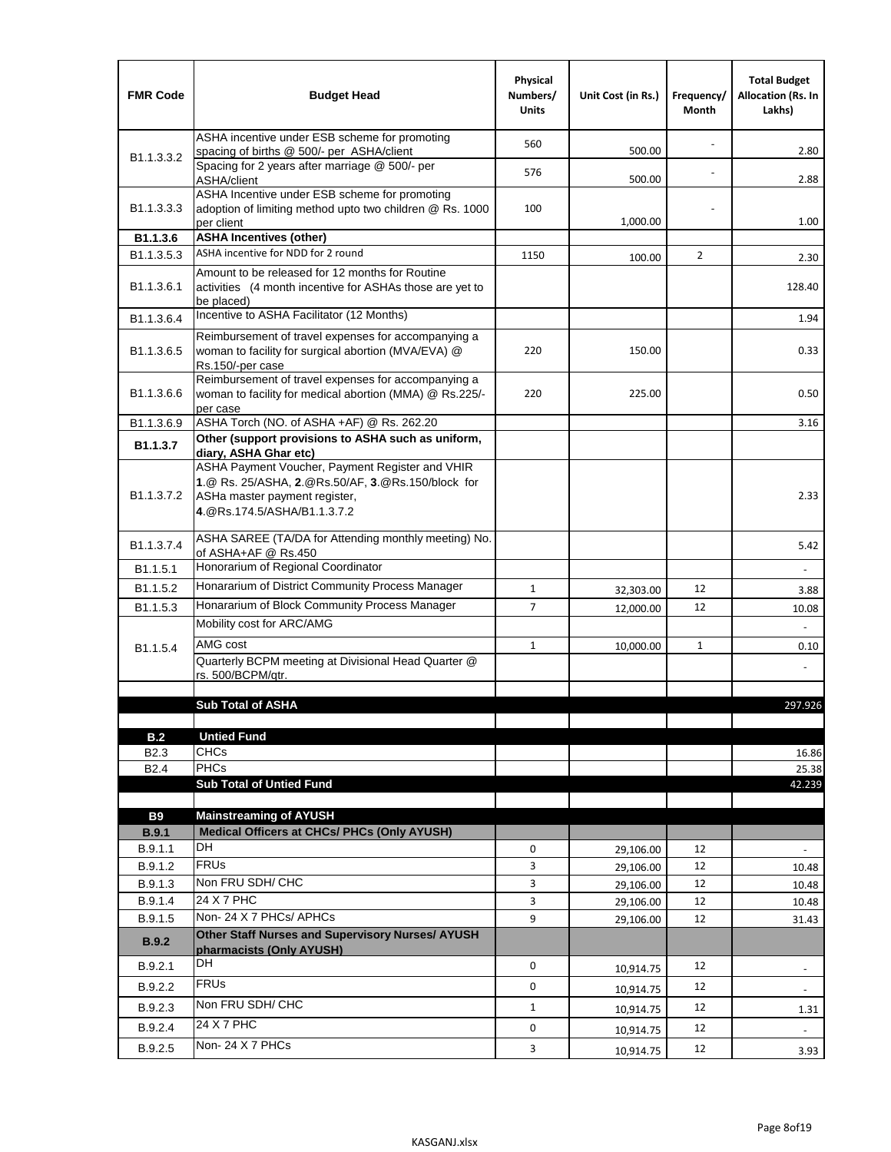| <b>FMR Code</b>            | <b>Budget Head</b>                                                                                                                                                    | Physical<br>Numbers/<br><b>Units</b> | Unit Cost (in Rs.)     | Frequency/<br>Month | <b>Total Budget</b><br><b>Allocation (Rs. In</b><br>Lakhs) |
|----------------------------|-----------------------------------------------------------------------------------------------------------------------------------------------------------------------|--------------------------------------|------------------------|---------------------|------------------------------------------------------------|
|                            | ASHA incentive under ESB scheme for promoting<br>spacing of births @ 500/- per ASHA/client                                                                            | 560                                  | 500.00                 |                     | 2.80                                                       |
| B <sub>1.1</sub> , 3, 3, 2 | Spacing for 2 years after marriage @ 500/- per<br>ASHA/client                                                                                                         | 576                                  | 500.00                 |                     | 2.88                                                       |
| B1.1.3.3.3                 | ASHA Incentive under ESB scheme for promoting<br>adoption of limiting method upto two children @ Rs. 1000<br>per client                                               | 100                                  | 1,000.00               |                     | 1.00                                                       |
| B1.1.3.6                   | <b>ASHA Incentives (other)</b>                                                                                                                                        |                                      |                        |                     |                                                            |
| B <sub>1.1</sub> , 3, 5, 3 | ASHA incentive for NDD for 2 round                                                                                                                                    | 1150                                 | 100.00                 | $\overline{2}$      | 2.30                                                       |
| B <sub>1.1</sub> .3.6.1    | Amount to be released for 12 months for Routine<br>activities (4 month incentive for ASHAs those are yet to<br>be placed)                                             |                                      |                        |                     | 128.40                                                     |
| B1.1.3.6.4                 | Incentive to ASHA Facilitator (12 Months)                                                                                                                             |                                      |                        |                     | 1.94                                                       |
| B <sub>1.1</sub> .3.6.5    | Reimbursement of travel expenses for accompanying a<br>woman to facility for surgical abortion (MVA/EVA) @<br>Rs.150/-per case                                        | 220                                  | 150.00                 |                     | 0.33                                                       |
| B <sub>1.1</sub> .3.6.6    | Reimbursement of travel expenses for accompanying a<br>woman to facility for medical abortion (MMA) @ Rs.225/-<br>per case                                            | 220                                  | 225.00                 |                     | 0.50                                                       |
| B1.1.3.6.9                 | ASHA Torch (NO. of ASHA +AF) @ Rs. 262.20                                                                                                                             |                                      |                        |                     | 3.16                                                       |
| B1.1.3.7                   | Other (support provisions to ASHA such as uniform,<br>diary, ASHA Ghar etc)                                                                                           |                                      |                        |                     |                                                            |
| B <sub>1.1</sub> .3.7.2    | ASHA Payment Voucher, Payment Register and VHIR<br>1.@ Rs. 25/ASHA, 2.@Rs.50/AF, 3.@Rs.150/block for<br>ASHa master payment register,<br>4. @Rs.174.5/ASHA/B1.1.3.7.2 |                                      |                        |                     | 2.33                                                       |
| B <sub>1.1</sub> , 3.7.4   | ASHA SAREE (TA/DA for Attending monthly meeting) No.<br>of ASHA+AF @ Rs.450                                                                                           |                                      |                        |                     | 5.42                                                       |
| B1.1.5.1                   | Honorarium of Regional Coordinator                                                                                                                                    |                                      |                        |                     |                                                            |
| B <sub>1.1.5.2</sub>       | Honararium of District Community Process Manager                                                                                                                      | $\mathbf{1}$                         | 32,303.00              | 12                  | 3.88                                                       |
| B1.1.5.3                   | Honararium of Block Community Process Manager                                                                                                                         | $\overline{7}$                       | 12,000.00              | 12                  | 10.08                                                      |
|                            | Mobility cost for ARC/AMG                                                                                                                                             |                                      |                        |                     |                                                            |
| B <sub>1.1.5.4</sub>       | AMG cost                                                                                                                                                              | $\mathbf{1}$                         | 10,000.00              | $\mathbf{1}$        | 0.10                                                       |
|                            | Quarterly BCPM meeting at Divisional Head Quarter @<br>rs. 500/BCPM/atr.                                                                                              |                                      |                        |                     |                                                            |
|                            |                                                                                                                                                                       |                                      |                        |                     |                                                            |
|                            | <b>Sub Total of ASHA</b>                                                                                                                                              |                                      |                        |                     | 297.926                                                    |
| B.2                        | <b>Untied Fund</b>                                                                                                                                                    |                                      |                        |                     |                                                            |
| B <sub>2.3</sub>           | <b>CHCs</b>                                                                                                                                                           |                                      |                        |                     | 16.86                                                      |
| B <sub>2.4</sub>           | <b>PHCs</b>                                                                                                                                                           |                                      |                        |                     | 25.38                                                      |
|                            | <b>Sub Total of Untied Fund</b>                                                                                                                                       |                                      |                        |                     | 42.239                                                     |
|                            |                                                                                                                                                                       |                                      |                        |                     |                                                            |
| <b>B9</b>                  | <b>Mainstreaming of AYUSH</b>                                                                                                                                         |                                      |                        |                     |                                                            |
| B.9.1<br>B.9.1.1           | Medical Officers at CHCs/ PHCs (Only AYUSH)<br><b>DH</b>                                                                                                              | 0                                    |                        | 12                  |                                                            |
| B.9.1.2                    | <b>FRUs</b>                                                                                                                                                           | 3                                    | 29,106.00              | 12                  | $\frac{1}{2}$                                              |
| B.9.1.3                    | Non FRU SDH/ CHC                                                                                                                                                      | 3                                    | 29,106.00              | 12                  | 10.48                                                      |
| B.9.1.4                    | 24 X 7 PHC                                                                                                                                                            | 3                                    | 29,106.00<br>29,106.00 | 12                  | 10.48<br>10.48                                             |
| B.9.1.5                    | Non-24 X 7 PHCs/ APHCs                                                                                                                                                | 9                                    | 29,106.00              | 12                  | 31.43                                                      |
| B.9.2                      | Other Staff Nurses and Supervisory Nurses/ AYUSH<br>pharmacists (Only AYUSH)                                                                                          |                                      |                        |                     |                                                            |
| B.9.2.1                    | DH                                                                                                                                                                    | $\mathbf 0$                          | 10,914.75              | 12                  | $\overline{\phantom{a}}$                                   |
| B.9.2.2                    | <b>FRUs</b>                                                                                                                                                           | 0                                    |                        | 12                  |                                                            |
| B.9.2.3                    | Non FRU SDH/ CHC                                                                                                                                                      | $\mathbf{1}$                         | 10,914.75              | 12                  |                                                            |
|                            | 24 X 7 PHC                                                                                                                                                            |                                      | 10,914.75              |                     | 1.31                                                       |
| B.9.2.4                    | Non-24 X 7 PHCs                                                                                                                                                       | 0                                    | 10,914.75              | 12                  | $\blacksquare$                                             |
| B.9.2.5                    |                                                                                                                                                                       | 3                                    | 10,914.75              | 12                  | 3.93                                                       |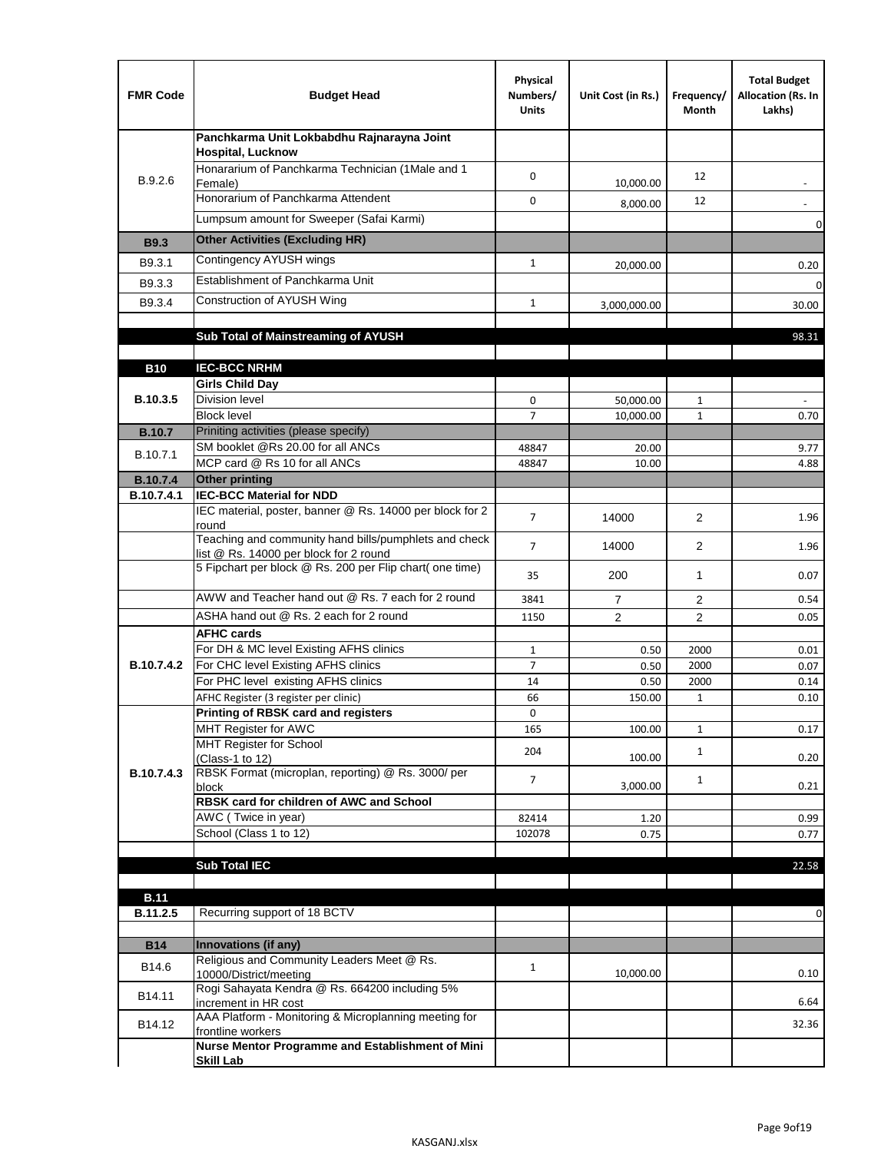| <b>FMR Code</b> | <b>Budget Head</b>                                                                              | Physical<br>Numbers/<br><b>Units</b> | Unit Cost (in Rs.) | Frequency/<br>Month | <b>Total Budget</b><br>Allocation (Rs. In<br>Lakhs) |
|-----------------|-------------------------------------------------------------------------------------------------|--------------------------------------|--------------------|---------------------|-----------------------------------------------------|
|                 | Panchkarma Unit Lokbabdhu Rajnarayna Joint<br><b>Hospital, Lucknow</b>                          |                                      |                    |                     |                                                     |
| B.9.2.6         | Honararium of Panchkarma Technician (1Male and 1<br>Female)                                     | 0                                    | 10,000.00          | 12                  |                                                     |
|                 | Honorarium of Panchkarma Attendent                                                              | 0                                    | 8,000.00           | 12                  |                                                     |
|                 | Lumpsum amount for Sweeper (Safai Karmi)                                                        |                                      |                    |                     | 0                                                   |
| <b>B9.3</b>     | <b>Other Activities (Excluding HR)</b>                                                          |                                      |                    |                     |                                                     |
| B9.3.1          | Contingency AYUSH wings                                                                         | $\mathbf{1}$                         | 20,000.00          |                     | 0.20                                                |
| B9.3.3          | Establishment of Panchkarma Unit                                                                |                                      |                    |                     | $\mathbf 0$                                         |
| B9.3.4          | Construction of AYUSH Wing                                                                      | $\mathbf{1}$                         | 3,000,000.00       |                     | 30.00                                               |
|                 |                                                                                                 |                                      |                    |                     |                                                     |
|                 | Sub Total of Mainstreaming of AYUSH                                                             |                                      |                    |                     | 98.31                                               |
| <b>B10</b>      | <b>IEC-BCC NRHM</b>                                                                             |                                      |                    |                     |                                                     |
|                 | <b>Girls Child Day</b>                                                                          |                                      |                    |                     |                                                     |
| B.10.3.5        | <b>Division level</b>                                                                           | 0                                    | 50,000.00          | 1                   |                                                     |
|                 | <b>Block level</b>                                                                              | $\overline{7}$                       | 10,000.00          | $\mathbf{1}$        | 0.70                                                |
| <b>B.10.7</b>   | Priniting activities (please specify)                                                           |                                      |                    |                     |                                                     |
| B.10.7.1        | SM booklet @Rs 20.00 for all ANCs<br>MCP card @ Rs 10 for all ANCs                              | 48847<br>48847                       | 20.00<br>10.00     |                     | 9.77<br>4.88                                        |
| <b>B.10.7.4</b> | <b>Other printing</b>                                                                           |                                      |                    |                     |                                                     |
| B.10.7.4.1      | <b>IEC-BCC Material for NDD</b>                                                                 |                                      |                    |                     |                                                     |
|                 | IEC material, poster, banner @ Rs. 14000 per block for 2<br>round                               | $\overline{7}$                       | 14000              | $\overline{2}$      | 1.96                                                |
|                 | Teaching and community hand bills/pumphlets and check<br>list @ Rs. 14000 per block for 2 round | $\overline{7}$                       | 14000              | $\overline{2}$      | 1.96                                                |
|                 | 5 Fipchart per block @ Rs. 200 per Flip chart( one time)                                        | 35                                   | 200                | 1                   | 0.07                                                |
|                 | AWW and Teacher hand out @ Rs. 7 each for 2 round                                               | 3841                                 | $\overline{7}$     | 2                   | 0.54                                                |
|                 | ASHA hand out @ Rs. 2 each for 2 round                                                          | 1150                                 | $\overline{2}$     | $\overline{2}$      | 0.05                                                |
|                 | <b>AFHC cards</b>                                                                               |                                      |                    |                     |                                                     |
| B.10.7.4.2      | For DH & MC level Existing AFHS clinics<br>For CHC level Existing AFHS clinics                  | $\mathbf{1}$<br>$\overline{7}$       | 0.50<br>0.50       | 2000<br>2000        | 0.01<br>0.07                                        |
|                 | For PHC level existing AFHS clinics                                                             | 14                                   | 0.50               | 2000                | 0.14                                                |
|                 | AFHC Register (3 register per clinic)                                                           | 66                                   | 150.00             | $\mathbf{1}$        | 0.10                                                |
|                 | Printing of RBSK card and registers                                                             | 0                                    |                    |                     |                                                     |
|                 | MHT Register for AWC<br>MHT Register for School                                                 | 165                                  | 100.00             | $\mathbf{1}$        | 0.17                                                |
|                 | (Class-1 to 12)                                                                                 | 204                                  | 100.00             | $\mathbf{1}$        | 0.20                                                |
| B.10.7.4.3      | RBSK Format (microplan, reporting) @ Rs. 3000/ per<br>block                                     | 7                                    | 3,000.00           | $\mathbf{1}$        | 0.21                                                |
|                 | RBSK card for children of AWC and School                                                        |                                      |                    |                     |                                                     |
|                 | AWC (Twice in year)                                                                             | 82414                                | 1.20               |                     | 0.99                                                |
|                 | School (Class 1 to 12)                                                                          | 102078                               | 0.75               |                     | 0.77                                                |
|                 | <b>Sub Total IEC</b>                                                                            |                                      |                    |                     | 22.58                                               |
|                 |                                                                                                 |                                      |                    |                     |                                                     |
| <b>B.11</b>     |                                                                                                 |                                      |                    |                     |                                                     |
| B.11.2.5        | Recurring support of 18 BCTV                                                                    |                                      |                    |                     | 0                                                   |
| <b>B14</b>      | Innovations (if any)                                                                            |                                      |                    |                     |                                                     |
|                 | Religious and Community Leaders Meet @ Rs.                                                      |                                      |                    |                     |                                                     |
| B14.6           | 10000/District/meeting                                                                          | $\mathbf{1}$                         | 10,000.00          |                     | 0.10                                                |
| B14.11          | Rogi Sahayata Kendra @ Rs. 664200 including 5%<br>increment in HR cost                          |                                      |                    |                     | 6.64                                                |
| B14.12          | AAA Platform - Monitoring & Microplanning meeting for<br>frontline workers                      |                                      |                    |                     | 32.36                                               |
|                 | Nurse Mentor Programme and Establishment of Mini                                                |                                      |                    |                     |                                                     |
|                 | <b>Skill Lab</b>                                                                                |                                      |                    |                     |                                                     |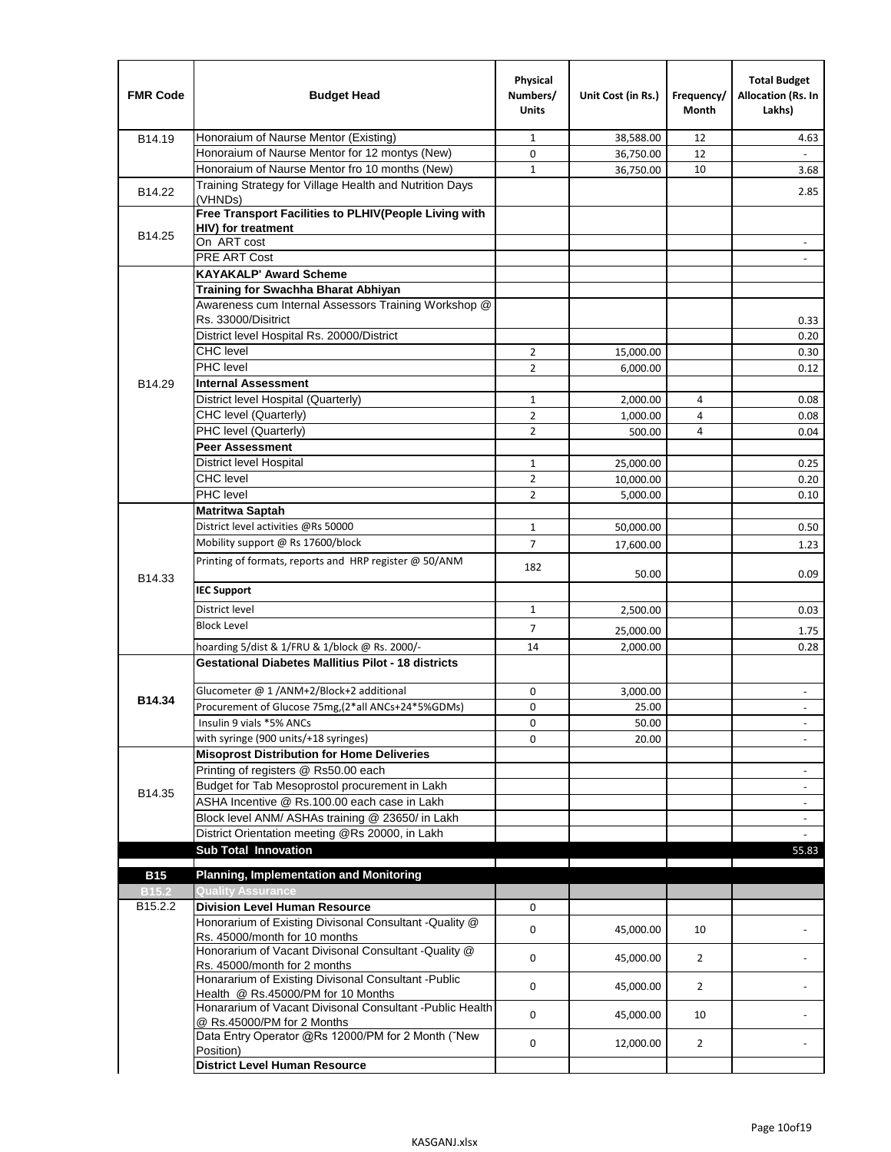| <b>FMR Code</b>   | <b>Budget Head</b>                                                                              | Physical<br>Numbers/<br><b>Units</b> | Unit Cost (in Rs.) | Frequency/<br><b>Month</b> | <b>Total Budget</b><br>Allocation (Rs. In<br>Lakhs) |
|-------------------|-------------------------------------------------------------------------------------------------|--------------------------------------|--------------------|----------------------------|-----------------------------------------------------|
| B14.19            | Honoraium of Naurse Mentor (Existing)                                                           | 1                                    | 38,588.00          | 12                         | 4.63                                                |
|                   | Honoraium of Naurse Mentor for 12 montys (New)                                                  | 0                                    | 36,750.00          | 12                         |                                                     |
|                   | Honoraium of Naurse Mentor fro 10 months (New)                                                  | 1                                    | 36,750.00          | 10                         | 3.68                                                |
| B14.22            | Training Strategy for Village Health and Nutrition Days<br>(VHNDs)                              |                                      |                    |                            | 2.85                                                |
|                   | Free Transport Facilities to PLHIV(People Living with                                           |                                      |                    |                            |                                                     |
| B14.25            | <b>HIV)</b> for treatment                                                                       |                                      |                    |                            |                                                     |
|                   | On ART cost                                                                                     |                                      |                    |                            |                                                     |
|                   | PRE ART Cost                                                                                    |                                      |                    |                            |                                                     |
|                   | <b>KAYAKALP' Award Scheme</b>                                                                   |                                      |                    |                            |                                                     |
|                   | Training for Swachha Bharat Abhiyan                                                             |                                      |                    |                            |                                                     |
|                   | Awareness cum Internal Assessors Training Workshop @                                            |                                      |                    |                            |                                                     |
|                   | Rs. 33000/Disitrict                                                                             |                                      |                    |                            | 0.33                                                |
|                   | District level Hospital Rs. 20000/District                                                      |                                      |                    |                            | 0.20                                                |
|                   | <b>CHC</b> level<br><b>PHC</b> level                                                            | $\overline{2}$                       | 15,000.00          |                            | 0.30                                                |
|                   |                                                                                                 | $\overline{2}$                       | 6,000.00           |                            | 0.12                                                |
| B14.29            | <b>Internal Assessment</b>                                                                      |                                      |                    |                            |                                                     |
|                   | District level Hospital (Quarterly)                                                             | 1                                    | 2,000.00           | 4                          | 0.08                                                |
|                   | CHC level (Quarterly)                                                                           | $\overline{2}$                       | 1,000.00           | 4                          | 0.08                                                |
|                   | PHC level (Quarterly)                                                                           | $\overline{2}$                       | 500.00             | 4                          | 0.04                                                |
|                   | <b>Peer Assessment</b>                                                                          |                                      |                    |                            |                                                     |
|                   | <b>District level Hospital</b>                                                                  | 1                                    | 25.000.00          |                            | 0.25                                                |
|                   | <b>CHC</b> level                                                                                | $\overline{2}$                       | 10,000.00          |                            | 0.20                                                |
|                   | PHC level                                                                                       | $\overline{2}$                       | 5,000.00           |                            | 0.10                                                |
|                   | Matritwa Saptah                                                                                 |                                      |                    |                            |                                                     |
|                   | District level activities @Rs 50000                                                             | $\mathbf{1}$                         | 50,000.00          |                            | 0.50                                                |
|                   | Mobility support @ Rs 17600/block                                                               | $\overline{7}$                       | 17,600.00          |                            | 1.23                                                |
| B14.33            | Printing of formats, reports and HRP register @ 50/ANM                                          | 182                                  | 50.00              |                            | 0.09                                                |
|                   | <b>IEC Support</b>                                                                              |                                      |                    |                            |                                                     |
|                   | District level                                                                                  | 1                                    | 2,500.00           |                            | 0.03                                                |
|                   | <b>Block Level</b>                                                                              | 7                                    | 25,000.00          |                            | 1.75                                                |
|                   | hoarding 5/dist & 1/FRU & 1/block @ Rs. 2000/-                                                  | 14                                   | 2,000.00           |                            | 0.28                                                |
|                   | <b>Gestational Diabetes Mallitius Pilot - 18 districts</b>                                      |                                      |                    |                            |                                                     |
|                   | Glucometer @ 1 /ANM+2/Block+2 additional                                                        | 0                                    | 3,000.00           |                            | $\overline{\phantom{a}}$                            |
| B14.34            | Procurement of Glucose 75mg, (2*all ANCs+24*5%GDMs)                                             | 0                                    | 25.00              |                            |                                                     |
|                   | Insulin 9 vials *5% ANCs                                                                        | 0                                    | 50.00              |                            | $\blacksquare$                                      |
|                   | with syringe (900 units/+18 syringes)                                                           | 0                                    | 20.00              |                            |                                                     |
|                   | <b>Misoprost Distribution for Home Deliveries</b>                                               |                                      |                    |                            |                                                     |
|                   | Printing of registers @ Rs50.00 each                                                            |                                      |                    |                            | $\overline{\phantom{a}}$                            |
|                   | Budget for Tab Mesoprostol procurement in Lakh                                                  |                                      |                    |                            |                                                     |
| B14.35            | ASHA Incentive @ Rs.100.00 each case in Lakh                                                    |                                      |                    |                            | $\overline{\phantom{a}}$                            |
|                   | Block level ANM/ ASHAs training @ 23650/ in Lakh                                                |                                      |                    |                            | $\overline{\phantom{a}}$                            |
|                   | District Orientation meeting @Rs 20000, in Lakh                                                 |                                      |                    |                            |                                                     |
|                   | <b>Sub Total Innovation</b>                                                                     |                                      |                    |                            | 55.83                                               |
| <b>B15</b>        | <b>Planning, Implementation and Monitoring</b>                                                  |                                      |                    |                            |                                                     |
| B <sub>15.2</sub> | <b>Quality Assurance</b>                                                                        |                                      |                    |                            |                                                     |
| B15.2.2           | <b>Division Level Human Resource</b>                                                            | 0                                    |                    |                            |                                                     |
|                   | Honorarium of Existing Divisonal Consultant -Quality @                                          |                                      |                    |                            |                                                     |
|                   | Rs. 45000/month for 10 months                                                                   | 0                                    | 45,000.00          | 10                         |                                                     |
|                   | Honorarium of Vacant Divisonal Consultant -Quality @<br>Rs. 45000/month for 2 months            | 0                                    | 45,000.00          | $\overline{2}$             |                                                     |
|                   | Honararium of Existing Divisonal Consultant - Public                                            | 0                                    | 45,000.00          | $\overline{2}$             |                                                     |
|                   | Health @ Rs.45000/PM for 10 Months<br>Honararium of Vacant Divisonal Consultant - Public Health | 0                                    | 45,000.00          | 10                         |                                                     |
|                   | @ Rs.45000/PM for 2 Months<br>Data Entry Operator @Rs 12000/PM for 2 Month ("New                |                                      |                    |                            |                                                     |
|                   | Position)<br><b>District Level Human Resource</b>                                               | 0                                    | 12,000.00          | $\overline{2}$             |                                                     |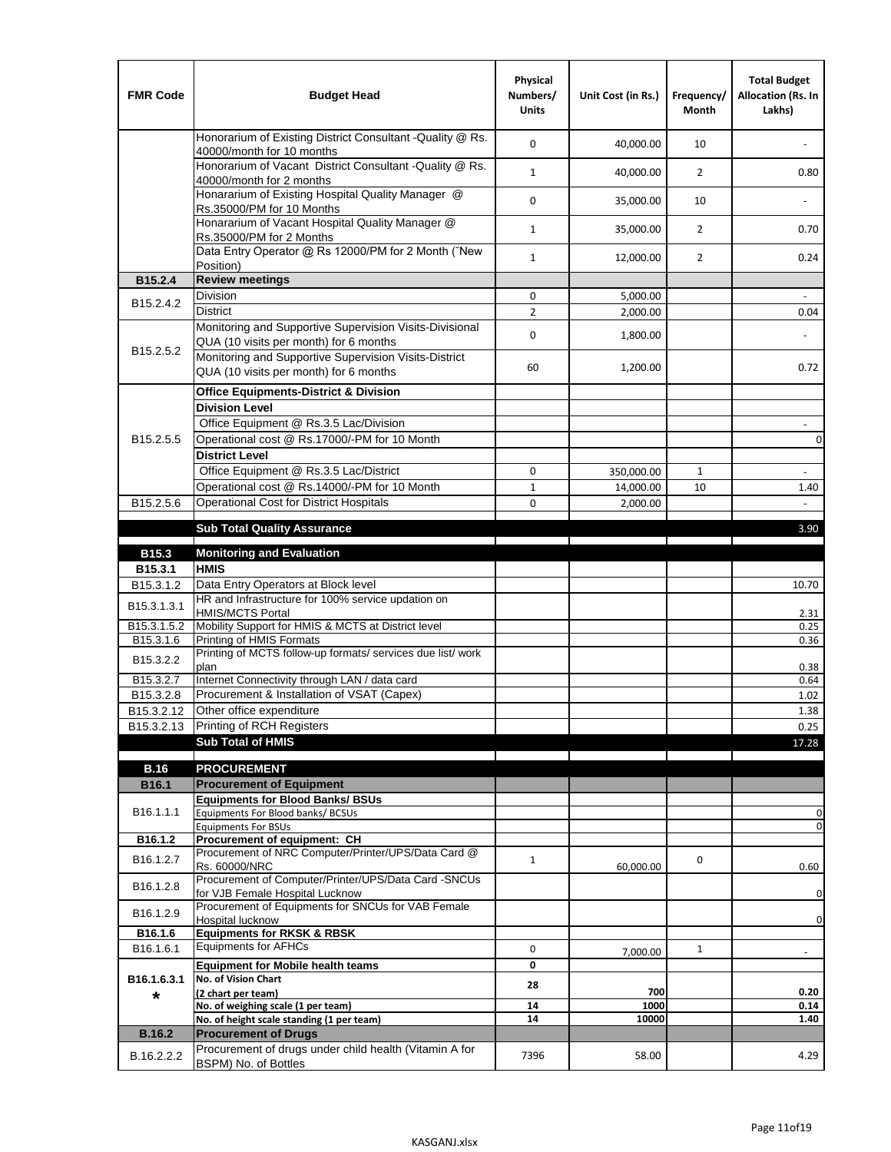| <b>FMR Code</b>         | <b>Budget Head</b>                                                                                | Physical<br>Numbers/<br><b>Units</b> | Unit Cost (in Rs.) | Frequency/<br><b>Month</b> | <b>Total Budget</b><br>Allocation (Rs. In<br>Lakhs) |
|-------------------------|---------------------------------------------------------------------------------------------------|--------------------------------------|--------------------|----------------------------|-----------------------------------------------------|
|                         | Honorarium of Existing District Consultant -Quality @ Rs.<br>40000/month for 10 months            | $\mathbf 0$                          | 40,000.00          | 10                         |                                                     |
|                         | Honorarium of Vacant District Consultant -Quality @ Rs.<br>40000/month for 2 months               | $\mathbf{1}$                         | 40,000.00          | $\overline{2}$             | 0.80                                                |
|                         | Honararium of Existing Hospital Quality Manager @<br>Rs.35000/PM for 10 Months                    | 0                                    | 35,000.00          | 10                         |                                                     |
|                         | Honararium of Vacant Hospital Quality Manager @<br>Rs.35000/PM for 2 Months                       | $\mathbf{1}$                         | 35,000.00          | $\overline{2}$             | 0.70                                                |
|                         | Data Entry Operator @ Rs 12000/PM for 2 Month ("New<br>Position)                                  | $\mathbf{1}$                         | 12,000.00          | $\overline{2}$             | 0.24                                                |
| B15.2.4                 | <b>Review meetings</b>                                                                            |                                      |                    |                            |                                                     |
| B <sub>15.2</sub> .4.2  | Division                                                                                          | 0                                    | 5,000.00           |                            |                                                     |
|                         | <b>District</b>                                                                                   | $\overline{2}$                       | 2,000.00           |                            | 0.04                                                |
|                         | Monitoring and Supportive Supervision Visits-Divisional<br>QUA (10 visits per month) for 6 months | $\mathbf 0$                          | 1,800.00           |                            |                                                     |
| B15.2.5.2               | Monitoring and Supportive Supervision Visits-District<br>QUA (10 visits per month) for 6 months   | 60                                   | 1,200.00           |                            | 0.72                                                |
|                         | <b>Office Equipments-District &amp; Division</b>                                                  |                                      |                    |                            |                                                     |
|                         | <b>Division Level</b>                                                                             |                                      |                    |                            |                                                     |
|                         | Office Equipment @ Rs.3.5 Lac/Division                                                            |                                      |                    |                            | $\sim$                                              |
| B15.2.5.5               | Operational cost @ Rs.17000/-PM for 10 Month                                                      |                                      |                    |                            | $\pmb{0}$                                           |
|                         | <b>District Level</b>                                                                             |                                      |                    |                            |                                                     |
|                         | Office Equipment @ Rs.3.5 Lac/District                                                            | 0                                    | 350,000.00         | $\mathbf{1}$               | $\blacksquare$                                      |
|                         | Operational cost @ Rs.14000/-PM for 10 Month                                                      | $1\,$                                | 14,000.00          | 10                         | 1.40                                                |
| B15.2.5.6               | <b>Operational Cost for District Hospitals</b>                                                    | 0                                    | 2,000.00           |                            | $\mathbf{r}$                                        |
|                         | <b>Sub Total Quality Assurance</b>                                                                |                                      |                    |                            | 3.90                                                |
|                         |                                                                                                   |                                      |                    |                            |                                                     |
| B15.3                   | <b>Monitoring and Evaluation</b><br><b>HMIS</b>                                                   |                                      |                    |                            |                                                     |
| B15.3.1<br>B15.3.1.2    | Data Entry Operators at Block level                                                               |                                      |                    |                            | 10.70                                               |
| B15.3.1.3.1             | HR and Infrastructure for 100% service updation on<br><b>HMIS/MCTS Portal</b>                     |                                      |                    |                            | 2.31                                                |
| B <sub>15.3.1.5.2</sub> | Mobility Support for HMIS & MCTS at District level                                                |                                      |                    |                            | 0.25                                                |
| B15.3.1.6               | Printing of HMIS Formats                                                                          |                                      |                    |                            | 0.36                                                |
| B15.3.2.2               | Printing of MCTS follow-up formats/ services due list/ work<br>plan                               |                                      |                    |                            | 0.38                                                |
| B15.3.2.7               | Internet Connectivity through LAN / data card                                                     |                                      |                    |                            | 0.64                                                |
| B15.3.2.8               | Procurement & Installation of VSAT (Capex)                                                        |                                      |                    |                            | 1.02                                                |
| B15.3.2.12              | Other office expenditure                                                                          |                                      |                    |                            | 1.38                                                |
| B15.3.2.13              | Printing of RCH Registers                                                                         |                                      |                    |                            | 0.25                                                |
|                         | <b>Sub Total of HMIS</b>                                                                          |                                      |                    |                            | 17.28                                               |
| <b>B.16</b>             | <b>PROCUREMENT</b>                                                                                |                                      |                    |                            |                                                     |
| B16.1                   | <b>Procurement of Equipment</b>                                                                   |                                      |                    |                            |                                                     |
|                         | <b>Equipments for Blood Banks/ BSUs</b>                                                           |                                      |                    |                            |                                                     |
| B16.1.1.1               | Equipments For Blood banks/ BCSUs                                                                 |                                      |                    |                            | 0                                                   |
|                         | <b>Equipments For BSUs</b>                                                                        |                                      |                    |                            | 0                                                   |
| B16.1.2                 | Procurement of equipment: CH<br>Procurement of NRC Computer/Printer/UPS/Data Card @               |                                      |                    |                            |                                                     |
| B16.1.2.7               | Rs. 60000/NRC                                                                                     | $\mathbf{1}$                         | 60,000.00          | 0                          | 0.60                                                |
| B16.1.2.8               | Procurement of Computer/Printer/UPS/Data Card -SNCUs                                              |                                      |                    |                            |                                                     |
|                         | for VJB Female Hospital Lucknow                                                                   |                                      |                    |                            | 0                                                   |
| B16.1.2.9               | Procurement of Equipments for SNCUs for VAB Female<br>Hospital lucknow                            |                                      |                    |                            | $\mathbf 0$                                         |
| B16.1.6                 | <b>Equipments for RKSK &amp; RBSK</b>                                                             |                                      |                    |                            |                                                     |
| B16.1.6.1               | <b>Equipments for AFHCs</b>                                                                       | 0                                    | 7,000.00           | $\mathbf{1}$               | ÷,                                                  |
|                         | <b>Equipment for Mobile health teams</b>                                                          | 0                                    |                    |                            |                                                     |
| B16.1.6.3.1             | No. of Vision Chart                                                                               | 28                                   |                    |                            |                                                     |
| *                       | (2 chart per team)<br>No. of weighing scale (1 per team)                                          | ${\bf 14}$                           | 700<br>1000        |                            | 0.20<br>0.14                                        |
|                         | No. of height scale standing (1 per team)                                                         | 14                                   | 10000              |                            | 1.40                                                |
| <b>B.16.2</b>           | <b>Procurement of Drugs</b>                                                                       |                                      |                    |                            |                                                     |
|                         | Procurement of drugs under child health (Vitamin A for                                            | 7396                                 |                    |                            | 4.29                                                |
| B.16.2.2.2              | BSPM) No. of Bottles                                                                              |                                      | 58.00              |                            |                                                     |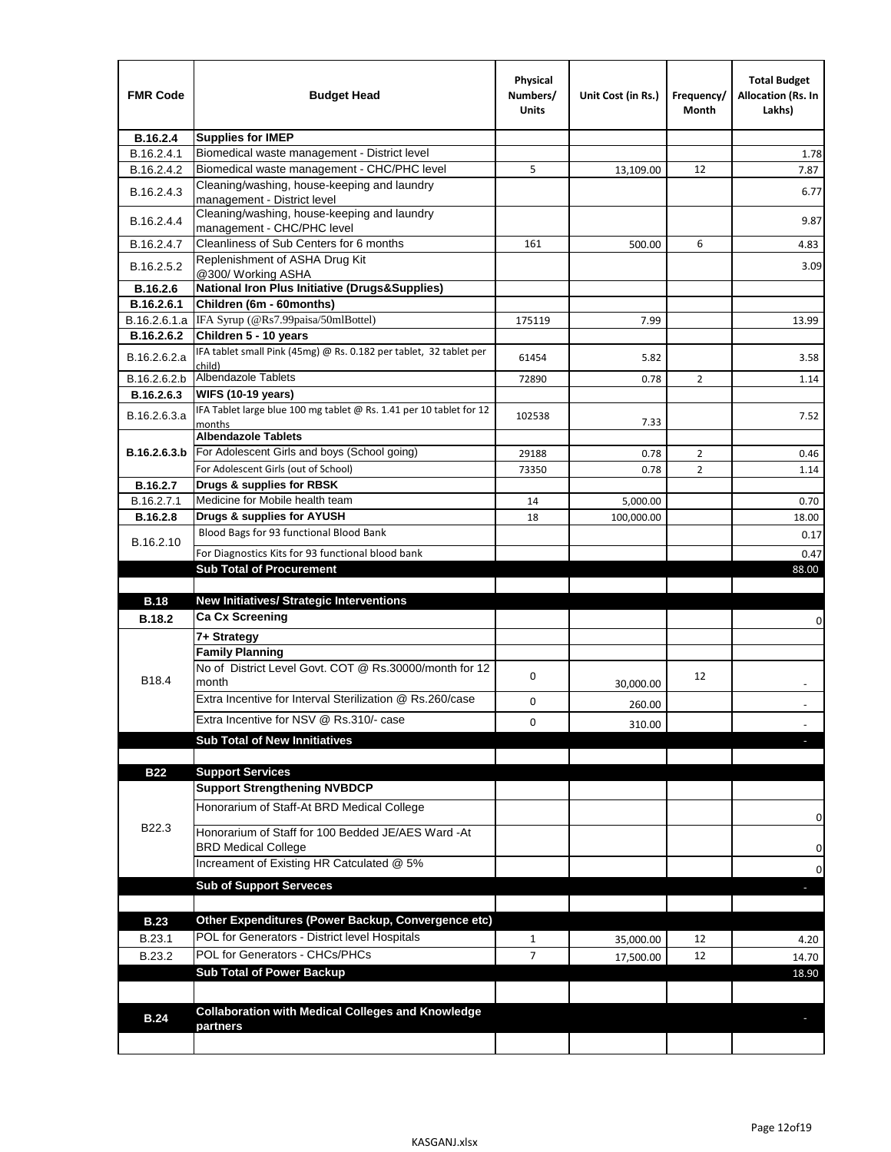| <b>FMR Code</b> | <b>Budget Head</b>                                                            | Physical<br>Numbers/<br>Units | Unit Cost (in Rs.) | Frequency/<br>Month | <b>Total Budget</b><br>Allocation (Rs. In<br>Lakhs) |
|-----------------|-------------------------------------------------------------------------------|-------------------------------|--------------------|---------------------|-----------------------------------------------------|
| B.16.2.4        | <b>Supplies for IMEP</b>                                                      |                               |                    |                     |                                                     |
| B.16.2.4.1      | Biomedical waste management - District level                                  |                               |                    |                     | 1.78                                                |
| B.16.2.4.2      | Biomedical waste management - CHC/PHC level                                   | 5                             | 13,109.00          | 12                  | 7.87                                                |
| B.16.2.4.3      | Cleaning/washing, house-keeping and laundry<br>management - District level    |                               |                    |                     | 6.77                                                |
| B.16.2.4.4      | Cleaning/washing, house-keeping and laundry<br>management - CHC/PHC level     |                               |                    |                     | 9.87                                                |
| B.16.2.4.7      | Cleanliness of Sub Centers for 6 months                                       | 161                           | 500.00             | 6                   | 4.83                                                |
| B.16.2.5.2      | Replenishment of ASHA Drug Kit<br>@300/ Working ASHA                          |                               |                    |                     | 3.09                                                |
| B.16.2.6        | <b>National Iron Plus Initiative (Drugs&amp;Supplies)</b>                     |                               |                    |                     |                                                     |
| B.16.2.6.1      | Children (6m - 60months)                                                      |                               |                    |                     |                                                     |
| B.16.2.6.1.a    | IFA Syrup (@Rs7.99paisa/50mlBottel)                                           | 175119                        | 7.99               |                     | 13.99                                               |
| B.16.2.6.2      | Children 5 - 10 years                                                         |                               |                    |                     |                                                     |
| B.16.2.6.2.a    | IFA tablet small Pink (45mg) @ Rs. 0.182 per tablet, 32 tablet per<br>child)  | 61454                         | 5.82               |                     | 3.58                                                |
| B.16.2.6.2.b    | <b>Albendazole Tablets</b>                                                    | 72890                         | 0.78               | 2                   | 1.14                                                |
| B.16.2.6.3      | <b>WIFS (10-19 years)</b>                                                     |                               |                    |                     |                                                     |
| B.16.2.6.3.a    | IFA Tablet large blue 100 mg tablet @ Rs. 1.41 per 10 tablet for 12<br>months | 102538                        | 7.33               |                     | 7.52                                                |
|                 | <b>Albendazole Tablets</b>                                                    |                               |                    |                     |                                                     |
| B.16.2.6.3.b    | For Adolescent Girls and boys (School going)                                  | 29188                         | 0.78               | $\overline{2}$      | 0.46                                                |
|                 | For Adolescent Girls (out of School)                                          | 73350                         | 0.78               | $\overline{2}$      | 1.14                                                |
| B.16.2.7        | Drugs & supplies for RBSK                                                     |                               |                    |                     |                                                     |
| B.16.2.7.1      | Medicine for Mobile health team                                               | 14                            | 5,000.00           |                     | 0.70                                                |
| <b>B.16.2.8</b> | Drugs & supplies for AYUSH<br>Blood Bags for 93 functional Blood Bank         | 18                            | 100,000.00         |                     | 18.00                                               |
| B.16.2.10       |                                                                               |                               |                    |                     | 0.17                                                |
|                 | For Diagnostics Kits for 93 functional blood bank                             |                               |                    |                     | 0.47                                                |
|                 | <b>Sub Total of Procurement</b>                                               |                               |                    |                     | 88.00                                               |
| <b>B.18</b>     | New Initiatives/ Strategic Interventions                                      |                               |                    |                     |                                                     |
| <b>B.18.2</b>   | <b>Ca Cx Screening</b>                                                        |                               |                    |                     |                                                     |
|                 |                                                                               |                               |                    |                     | 0                                                   |
|                 | 7+ Strategy<br><b>Family Planning</b>                                         |                               |                    |                     |                                                     |
| B18.4           | No of District Level Govt, COT @ Rs.30000/month for 12<br>month               | 0                             |                    | 12                  |                                                     |
|                 | Extra Incentive for Interval Sterilization @ Rs.260/case                      |                               | 30,000.00          |                     |                                                     |
|                 |                                                                               | 0                             | 260.00             |                     |                                                     |
|                 | Extra Incentive for NSV @ Rs.310/- case                                       | 0                             | 310.00             |                     |                                                     |
|                 | <b>Sub Total of New Innitiatives</b>                                          |                               |                    |                     |                                                     |
|                 |                                                                               |                               |                    |                     |                                                     |
| <b>B22</b>      | <b>Support Services</b><br><b>Support Strengthening NVBDCP</b>                |                               |                    |                     |                                                     |
|                 | Honorarium of Staff-At BRD Medical College                                    |                               |                    |                     |                                                     |
| B22.3           | Honorarium of Staff for 100 Bedded JE/AES Ward -At                            |                               |                    |                     | 0                                                   |
|                 | <b>BRD Medical College</b><br>Increament of Existing HR Catculated @ 5%       |                               |                    |                     | 0                                                   |
|                 | <b>Sub of Support Serveces</b>                                                |                               |                    |                     | 0                                                   |
|                 |                                                                               |                               |                    |                     |                                                     |
|                 |                                                                               |                               |                    |                     |                                                     |
| <b>B.23</b>     | Other Expenditures (Power Backup, Convergence etc)                            |                               |                    |                     |                                                     |
| B.23.1          | POL for Generators - District level Hospitals                                 | $\mathbf{1}$                  | 35,000.00          | 12                  | 4.20                                                |
| B.23.2          | POL for Generators - CHCs/PHCs                                                | $\overline{7}$                | 17,500.00          | 12                  | 14.70                                               |
|                 | <b>Sub Total of Power Backup</b>                                              |                               |                    |                     | 18.90                                               |
|                 |                                                                               |                               |                    |                     |                                                     |
| <b>B.24</b>     | <b>Collaboration with Medical Colleges and Knowledge</b>                      |                               |                    |                     |                                                     |
|                 | partners                                                                      |                               |                    |                     |                                                     |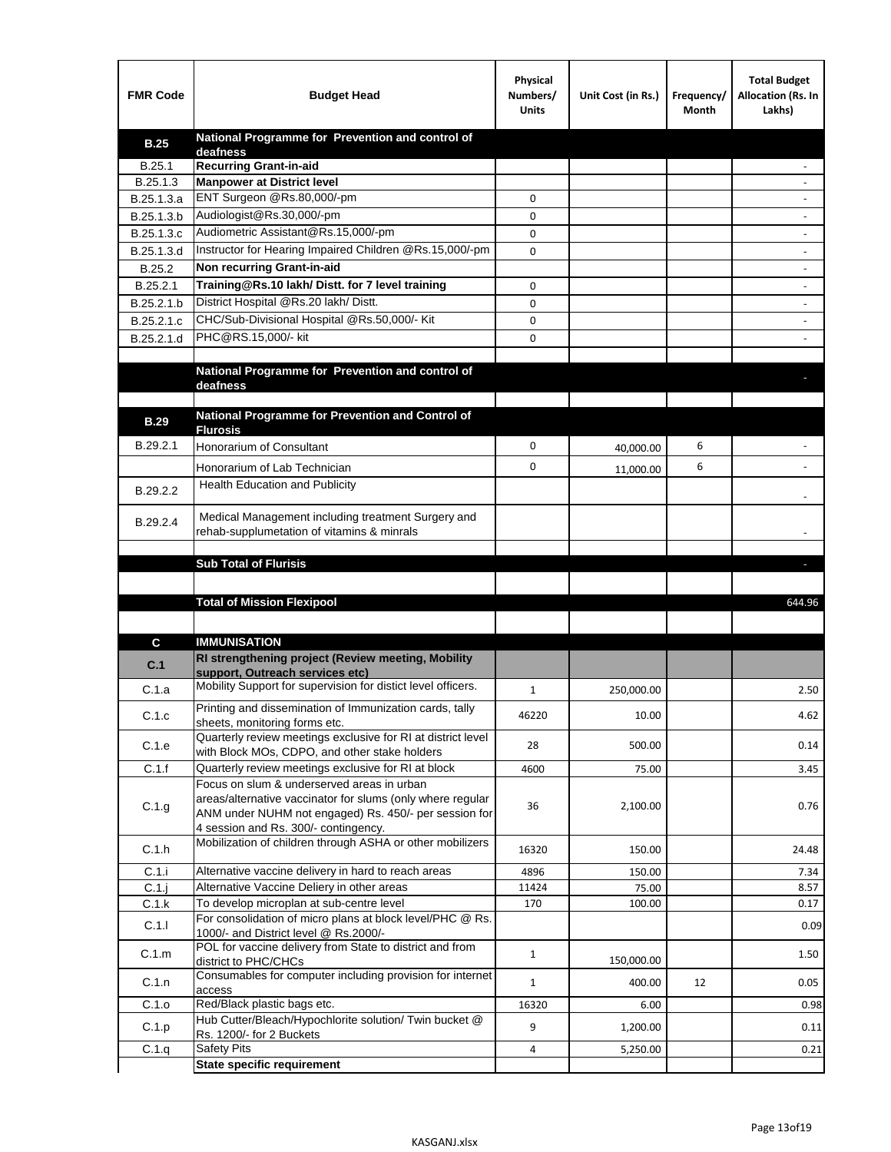| <b>FMR Code</b> | <b>Budget Head</b>                                                                               | Physical<br>Numbers/<br><b>Units</b> | Unit Cost (in Rs.) | Frequency/<br>Month | <b>Total Budget</b><br>Allocation (Rs. In<br>Lakhs) |
|-----------------|--------------------------------------------------------------------------------------------------|--------------------------------------|--------------------|---------------------|-----------------------------------------------------|
| <b>B.25</b>     | National Programme for Prevention and control of                                                 |                                      |                    |                     |                                                     |
| B.25.1          | deafness<br><b>Recurring Grant-in-aid</b>                                                        |                                      |                    |                     |                                                     |
| B.25.1.3        | <b>Manpower at District level</b>                                                                |                                      |                    |                     |                                                     |
| B.25.1.3.a      | ENT Surgeon @Rs.80,000/-pm                                                                       | 0                                    |                    |                     |                                                     |
| B.25.1.3.b      | Audiologist@Rs.30,000/-pm                                                                        | 0                                    |                    |                     |                                                     |
| B.25.1.3.c      | Audiometric Assistant@Rs.15,000/-pm                                                              | 0                                    |                    |                     |                                                     |
| B.25.1.3.d      | Instructor for Hearing Impaired Children @Rs.15,000/-pm                                          | 0                                    |                    |                     |                                                     |
| B.25.2          | Non recurring Grant-in-aid                                                                       |                                      |                    |                     |                                                     |
| B.25.2.1        | Training@Rs.10 lakh/ Distt. for 7 level training                                                 | 0                                    |                    |                     |                                                     |
| B.25.2.1.b      | District Hospital @Rs.20 lakh/Distt.                                                             | 0                                    |                    |                     |                                                     |
| B.25.2.1.c      | CHC/Sub-Divisional Hospital @Rs.50,000/- Kit                                                     | 0                                    |                    |                     |                                                     |
| B.25.2.1.d      | PHC@RS.15,000/- kit                                                                              | 0                                    |                    |                     |                                                     |
|                 |                                                                                                  |                                      |                    |                     |                                                     |
|                 | National Programme for Prevention and control of<br>deafness                                     |                                      |                    |                     |                                                     |
|                 |                                                                                                  |                                      |                    |                     |                                                     |
| <b>B.29</b>     | National Programme for Prevention and Control of                                                 |                                      |                    |                     |                                                     |
|                 | <b>Flurosis</b>                                                                                  |                                      |                    |                     |                                                     |
| B.29.2.1        | Honorarium of Consultant                                                                         | 0                                    | 40,000.00          | 6                   |                                                     |
|                 | Honorarium of Lab Technician                                                                     | 0                                    | 11,000.00          | 6                   |                                                     |
| B.29.2.2        | Health Education and Publicity                                                                   |                                      |                    |                     |                                                     |
|                 |                                                                                                  |                                      |                    |                     |                                                     |
| B.29.2.4        | Medical Management including treatment Surgery and<br>rehab-supplumetation of vitamins & minrals |                                      |                    |                     |                                                     |
|                 |                                                                                                  |                                      |                    |                     |                                                     |
|                 | <b>Sub Total of Flurisis</b>                                                                     |                                      |                    |                     | ь                                                   |
|                 |                                                                                                  |                                      |                    |                     |                                                     |
|                 | <b>Total of Mission Flexipool</b>                                                                |                                      |                    |                     | 644.96                                              |
|                 |                                                                                                  |                                      |                    |                     |                                                     |
| C               | <b>IMMUNISATION</b>                                                                              |                                      |                    |                     |                                                     |
| C.1             | RI strengthening project (Review meeting, Mobility                                               |                                      |                    |                     |                                                     |
|                 | support. Outreach services etc)                                                                  |                                      |                    |                     |                                                     |
| C.1.a           | Mobility Support for supervision for distict level officers.                                     | 1                                    | 250,000.00         |                     | 2.50                                                |
| C.1.c           | Printing and dissemination of Immunization cards, tally                                          | 46220                                | 10.00              |                     | 4.62                                                |
|                 | sheets, monitoring forms etc.<br>Quarterly review meetings exclusive for RI at district level    |                                      |                    |                     |                                                     |
| C.1.e           | with Block MOs, CDPO, and other stake holders                                                    | 28                                   | 500.00             |                     | 0.14                                                |
| C.1.f           | Quarterly review meetings exclusive for RI at block                                              | 4600                                 | 75.00              |                     | 3.45                                                |
|                 | Focus on slum & underserved areas in urban                                                       |                                      |                    |                     |                                                     |
| C.1.g           | areas/alternative vaccinator for slums (only where regular                                       | 36                                   | 2,100.00           |                     | 0.76                                                |
|                 | ANM under NUHM not engaged) Rs. 450/- per session for<br>4 session and Rs. 300/- contingency.    |                                      |                    |                     |                                                     |
|                 | Mobilization of children through ASHA or other mobilizers                                        |                                      |                    |                     |                                                     |
| C.1.h           |                                                                                                  | 16320                                | 150.00             |                     | 24.48                                               |
| C.1.i           | Alternative vaccine delivery in hard to reach areas                                              | 4896                                 | 150.00             |                     | 7.34                                                |
| $C.1$ .j        | Alternative Vaccine Deliery in other areas<br>To develop microplan at sub-centre level           | 11424                                | 75.00              |                     | 8.57                                                |
| C.1.k           | For consolidation of micro plans at block level/PHC @ Rs.                                        | 170                                  | 100.00             |                     | 0.17                                                |
| C.1.1           | 1000/- and District level @ Rs.2000/-                                                            |                                      |                    |                     | 0.09                                                |
| C.1.m           | POL for vaccine delivery from State to district and from                                         | $\mathbf{1}$                         |                    |                     | 1.50                                                |
|                 | district to PHC/CHCs<br>Consumables for computer including provision for internet                |                                      | 150,000.00         |                     |                                                     |
| C.1.n           | access                                                                                           | $\mathbf{1}$                         | 400.00             | 12                  | 0.05                                                |
| C.1.o           | Red/Black plastic bags etc.                                                                      | 16320                                | 6.00               |                     | 0.98                                                |
| C.1.p           | Hub Cutter/Bleach/Hypochlorite solution/ Twin bucket @                                           | 9                                    | 1,200.00           |                     | 0.11                                                |
|                 | Rs. 1200/- for 2 Buckets<br><b>Safety Pits</b>                                                   | 4                                    | 5,250.00           |                     | 0.21                                                |
| C.1.q           | <b>State specific requirement</b>                                                                |                                      |                    |                     |                                                     |
|                 |                                                                                                  |                                      |                    |                     |                                                     |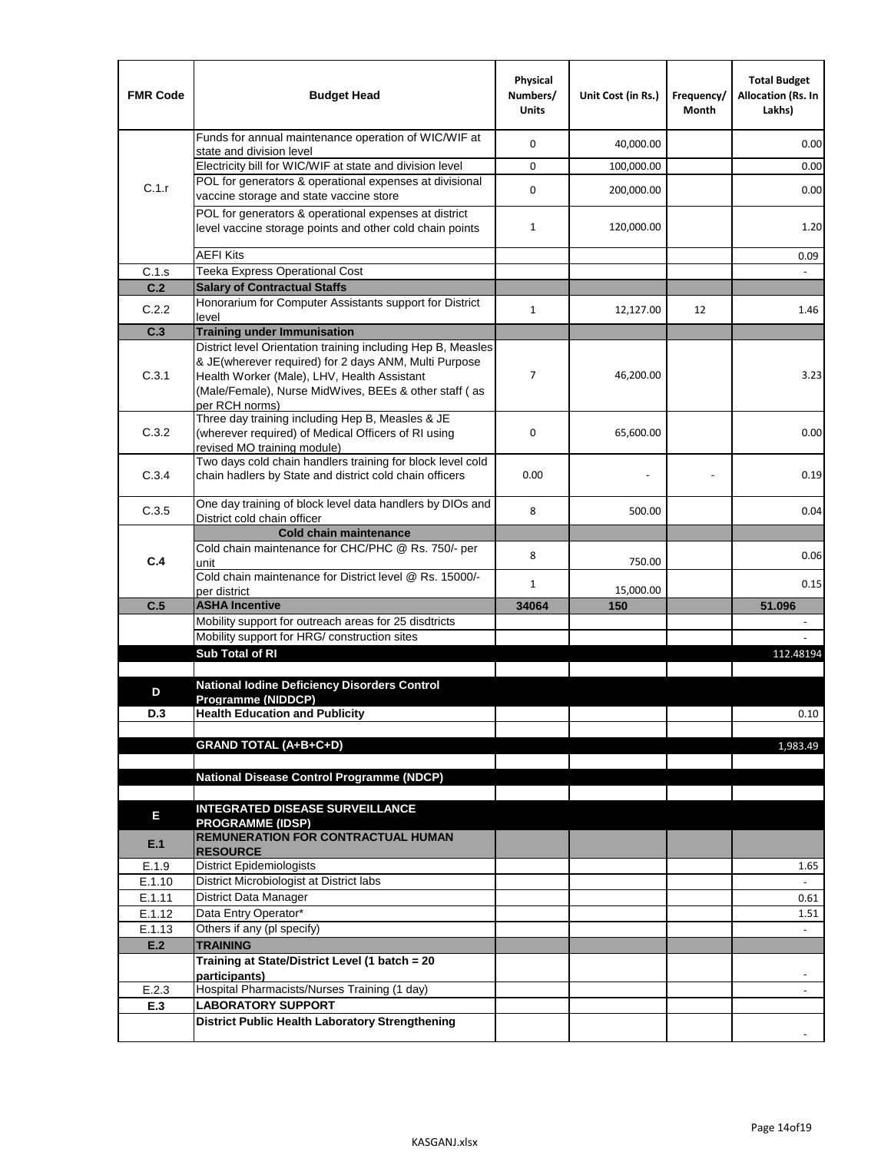| <b>FMR Code</b> | <b>Budget Head</b>                                                                                                                                                              | Physical<br>Numbers/<br><b>Units</b> | Unit Cost (in Rs.) | Frequency/<br>Month | <b>Total Budget</b><br><b>Allocation (Rs. In</b><br>Lakhs) |
|-----------------|---------------------------------------------------------------------------------------------------------------------------------------------------------------------------------|--------------------------------------|--------------------|---------------------|------------------------------------------------------------|
|                 | Funds for annual maintenance operation of WIC/WIF at<br>state and division level                                                                                                | $\mathbf 0$                          | 40,000.00          |                     | 0.00                                                       |
|                 | Electricity bill for WIC/WIF at state and division level                                                                                                                        | $\mathbf 0$                          | 100,000.00         |                     | 0.00                                                       |
| C.1.r           | POL for generators & operational expenses at divisional                                                                                                                         | $\mathbf 0$                          |                    |                     |                                                            |
|                 | vaccine storage and state vaccine store                                                                                                                                         |                                      | 200,000.00         |                     | 0.00                                                       |
|                 | POL for generators & operational expenses at district<br>level vaccine storage points and other cold chain points                                                               | $\mathbf{1}$                         | 120,000.00         |                     | 1.20                                                       |
|                 | <b>AEFI Kits</b>                                                                                                                                                                |                                      |                    |                     | 0.09                                                       |
| C.1.s           | Teeka Express Operational Cost                                                                                                                                                  |                                      |                    |                     |                                                            |
| C.2             | <b>Salary of Contractual Staffs</b>                                                                                                                                             |                                      |                    |                     |                                                            |
| C.2.2           | Honorarium for Computer Assistants support for District<br>level                                                                                                                | $\mathbf{1}$                         | 12,127.00          | 12                  | 1.46                                                       |
| C.3             | <b>Training under Immunisation</b>                                                                                                                                              |                                      |                    |                     |                                                            |
|                 | District level Orientation training including Hep B, Measles                                                                                                                    |                                      |                    |                     |                                                            |
| C.3.1           | & JE(wherever required) for 2 days ANM, Multi Purpose<br>Health Worker (Male), LHV, Health Assistant<br>(Male/Female), Nurse MidWives, BEEs & other staff (as<br>per RCH norms) | 7                                    | 46,200.00          |                     | 3.23                                                       |
| C.3.2           | Three day training including Hep B, Measles & JE<br>(wherever required) of Medical Officers of RI using<br>revised MO training module)                                          | $\mathbf 0$                          | 65,600.00          |                     | 0.00                                                       |
| C.3.4           | Two days cold chain handlers training for block level cold<br>chain hadlers by State and district cold chain officers                                                           | 0.00                                 |                    |                     | 0.19                                                       |
| C.3.5           | One day training of block level data handlers by DIOs and<br>District cold chain officer                                                                                        | 8                                    | 500.00             |                     | 0.04                                                       |
|                 | <b>Cold chain maintenance</b>                                                                                                                                                   |                                      |                    |                     |                                                            |
|                 | Cold chain maintenance for CHC/PHC @ Rs. 750/- per                                                                                                                              | 8                                    |                    |                     | 0.06                                                       |
| C.4             | unit                                                                                                                                                                            |                                      | 750.00             |                     |                                                            |
|                 | Cold chain maintenance for District level @ Rs. 15000/-<br>per district                                                                                                         | $\mathbf{1}$                         | 15,000.00          |                     | 0.15                                                       |
| C.5             | <b>ASHA Incentive</b>                                                                                                                                                           | 34064                                | 150                |                     | 51.096                                                     |
|                 | Mobility support for outreach areas for 25 disdtricts                                                                                                                           |                                      |                    |                     |                                                            |
|                 | Mobility support for HRG/ construction sites                                                                                                                                    |                                      |                    |                     |                                                            |
|                 | Sub Total of RI                                                                                                                                                                 |                                      |                    |                     | 112.48194                                                  |
|                 |                                                                                                                                                                                 |                                      |                    |                     |                                                            |
| D               | <b>National Iodine Deficiency Disorders Control</b><br>Programme (NIDDCP)                                                                                                       |                                      |                    |                     |                                                            |
| D.3             | <b>Health Education and Publicity</b>                                                                                                                                           |                                      |                    |                     | 0.10                                                       |
|                 |                                                                                                                                                                                 |                                      |                    |                     |                                                            |
|                 | <b>GRAND TOTAL (A+B+C+D)</b>                                                                                                                                                    |                                      |                    |                     | 1,983.49                                                   |
|                 | <b>National Disease Control Programme (NDCP)</b>                                                                                                                                |                                      |                    |                     |                                                            |
|                 |                                                                                                                                                                                 |                                      |                    |                     |                                                            |
|                 | <b>INTEGRATED DISEASE SURVEILLANCE</b>                                                                                                                                          |                                      |                    |                     |                                                            |
| Е<br>E.1        | <b>PROGRAMME (IDSP)</b><br><b>REMUNERATION FOR CONTRACTUAL HUMAN</b><br><b>RESOURCE</b>                                                                                         |                                      |                    |                     |                                                            |
| E.1.9           | District Epidemiologists                                                                                                                                                        |                                      |                    |                     | 1.65                                                       |
| E.1.10          | District Microbiologist at District labs                                                                                                                                        |                                      |                    |                     |                                                            |
| E.1.11          | District Data Manager                                                                                                                                                           |                                      |                    |                     | 0.61                                                       |
| E.1.12          | Data Entry Operator*                                                                                                                                                            |                                      |                    |                     | 1.51                                                       |
| E.1.13          | Others if any (pl specify)                                                                                                                                                      |                                      |                    |                     | $\omega$                                                   |
| E.2             | <b>TRAINING</b><br>Training at State/District Level (1 batch = 20                                                                                                               |                                      |                    |                     |                                                            |
|                 | participants)                                                                                                                                                                   |                                      |                    |                     |                                                            |
| E.2.3           | Hospital Pharmacists/Nurses Training (1 day)                                                                                                                                    |                                      |                    |                     |                                                            |
| E.3             | <b>LABORATORY SUPPORT</b>                                                                                                                                                       |                                      |                    |                     |                                                            |
|                 | <b>District Public Health Laboratory Strengthening</b>                                                                                                                          |                                      |                    |                     |                                                            |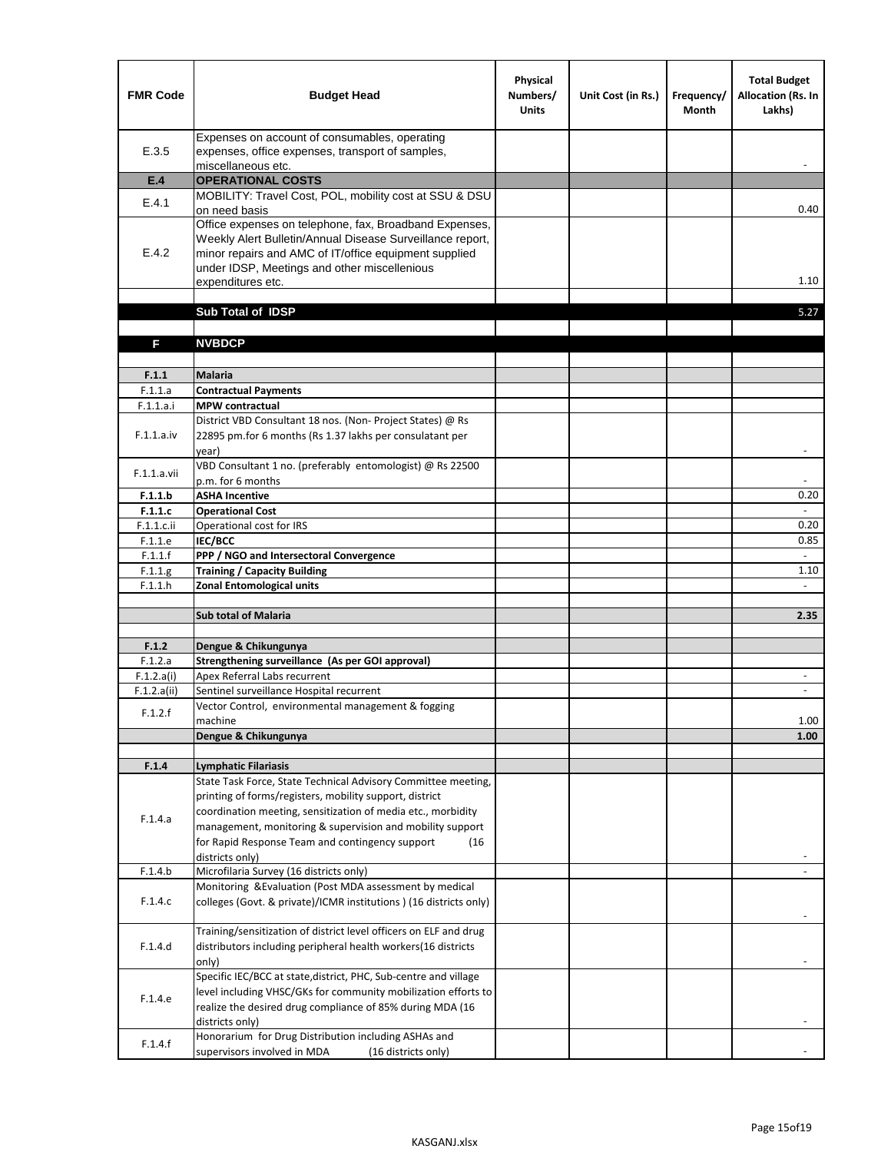| <b>FMR Code</b>       | <b>Budget Head</b>                                                                                                                                                                                                                                | Physical<br>Numbers/<br><b>Units</b> | Unit Cost (in Rs.) | Frequency/<br><b>Month</b> | <b>Total Budget</b><br><b>Allocation (Rs. In</b><br>Lakhs) |
|-----------------------|---------------------------------------------------------------------------------------------------------------------------------------------------------------------------------------------------------------------------------------------------|--------------------------------------|--------------------|----------------------------|------------------------------------------------------------|
| E.3.5                 | Expenses on account of consumables, operating<br>expenses, office expenses, transport of samples,<br>miscellaneous etc.                                                                                                                           |                                      |                    |                            |                                                            |
| E.4                   | <b>OPERATIONAL COSTS</b>                                                                                                                                                                                                                          |                                      |                    |                            |                                                            |
| E.4.1                 | MOBILITY: Travel Cost, POL, mobility cost at SSU & DSU                                                                                                                                                                                            |                                      |                    |                            |                                                            |
|                       | on need basis                                                                                                                                                                                                                                     |                                      |                    |                            | 0.40                                                       |
| E.4.2                 | Office expenses on telephone, fax, Broadband Expenses,<br>Weekly Alert Bulletin/Annual Disease Surveillance report,<br>minor repairs and AMC of IT/office equipment supplied<br>under IDSP, Meetings and other miscellenious<br>expenditures etc. |                                      |                    |                            | 1.10                                                       |
|                       | Sub Total of IDSP                                                                                                                                                                                                                                 |                                      |                    |                            | 5.27                                                       |
|                       |                                                                                                                                                                                                                                                   |                                      |                    |                            |                                                            |
| F                     | <b>NVBDCP</b>                                                                                                                                                                                                                                     |                                      |                    |                            |                                                            |
|                       |                                                                                                                                                                                                                                                   |                                      |                    |                            |                                                            |
| F.1.1                 | <b>Malaria</b>                                                                                                                                                                                                                                    |                                      |                    |                            |                                                            |
| F.1.1.a               | <b>Contractual Payments</b>                                                                                                                                                                                                                       |                                      |                    |                            |                                                            |
| F.1.1.a.i             | <b>MPW</b> contractual<br>District VBD Consultant 18 nos. (Non-Project States) @ Rs                                                                                                                                                               |                                      |                    |                            |                                                            |
| F.1.1.a.iv            | 22895 pm.for 6 months (Rs 1.37 lakhs per consulatant per<br>year)                                                                                                                                                                                 |                                      |                    |                            | $\overline{\phantom{a}}$                                   |
|                       | VBD Consultant 1 no. (preferably entomologist) @ Rs 22500                                                                                                                                                                                         |                                      |                    |                            |                                                            |
| F.1.1.a.vii           | p.m. for 6 months                                                                                                                                                                                                                                 |                                      |                    |                            |                                                            |
| F.1.1.b               | <b>ASHA Incentive</b>                                                                                                                                                                                                                             |                                      |                    |                            | 0.20                                                       |
| F.1.1.c               | <b>Operational Cost</b>                                                                                                                                                                                                                           |                                      |                    |                            |                                                            |
| F.1.1.c.ii            | Operational cost for IRS                                                                                                                                                                                                                          |                                      |                    |                            | 0.20                                                       |
| F.1.1.e<br>F.1.1.f    | <b>IEC/BCC</b><br>PPP / NGO and Intersectoral Convergence                                                                                                                                                                                         |                                      |                    |                            | 0.85<br>$\mathbb{L}$                                       |
| F.1.1.g               | <b>Training / Capacity Building</b>                                                                                                                                                                                                               |                                      |                    |                            | 1.10                                                       |
| F.1.1.h               | <b>Zonal Entomological units</b>                                                                                                                                                                                                                  |                                      |                    |                            |                                                            |
|                       |                                                                                                                                                                                                                                                   |                                      |                    |                            |                                                            |
|                       | <b>Sub total of Malaria</b>                                                                                                                                                                                                                       |                                      |                    |                            | 2.35                                                       |
|                       |                                                                                                                                                                                                                                                   |                                      |                    |                            |                                                            |
| F.1.2                 | Dengue & Chikungunya                                                                                                                                                                                                                              |                                      |                    |                            |                                                            |
| F.1.2.a<br>F.1.2.a(i) | Strengthening surveillance (As per GOI approval)<br>Apex Referral Labs recurrent                                                                                                                                                                  |                                      |                    |                            |                                                            |
| F.1.2.a(ii)           | Sentinel surveillance Hospital recurrent                                                                                                                                                                                                          |                                      |                    |                            | $\sim$                                                     |
|                       | Vector Control, environmental management & fogging                                                                                                                                                                                                |                                      |                    |                            |                                                            |
| F.1.2.f               | machine                                                                                                                                                                                                                                           |                                      |                    |                            | 1.00                                                       |
|                       | Dengue & Chikungunya                                                                                                                                                                                                                              |                                      |                    |                            | 1.00                                                       |
|                       |                                                                                                                                                                                                                                                   |                                      |                    |                            |                                                            |
| F.1.4                 | <b>Lymphatic Filariasis</b>                                                                                                                                                                                                                       |                                      |                    |                            |                                                            |
|                       | State Task Force, State Technical Advisory Committee meeting,<br>printing of forms/registers, mobility support, district                                                                                                                          |                                      |                    |                            |                                                            |
|                       | coordination meeting, sensitization of media etc., morbidity                                                                                                                                                                                      |                                      |                    |                            |                                                            |
| F.1.4.a               | management, monitoring & supervision and mobility support                                                                                                                                                                                         |                                      |                    |                            |                                                            |
|                       | for Rapid Response Team and contingency support<br>(16)                                                                                                                                                                                           |                                      |                    |                            |                                                            |
|                       | districts only)                                                                                                                                                                                                                                   |                                      |                    |                            |                                                            |
| F.1.4.b               | Microfilaria Survey (16 districts only)                                                                                                                                                                                                           |                                      |                    |                            |                                                            |
| F.1.4.c               | Monitoring & Evaluation (Post MDA assessment by medical<br>colleges (Govt. & private)/ICMR institutions ) (16 districts only)                                                                                                                     |                                      |                    |                            |                                                            |
|                       | Training/sensitization of district level officers on ELF and drug                                                                                                                                                                                 |                                      |                    |                            |                                                            |
| F.1.4.d               | distributors including peripheral health workers(16 districts                                                                                                                                                                                     |                                      |                    |                            |                                                            |
|                       | only)                                                                                                                                                                                                                                             |                                      |                    |                            |                                                            |
|                       | Specific IEC/BCC at state, district, PHC, Sub-centre and village                                                                                                                                                                                  |                                      |                    |                            |                                                            |
| F.1.4.e               | level including VHSC/GKs for community mobilization efforts to                                                                                                                                                                                    |                                      |                    |                            |                                                            |
|                       | realize the desired drug compliance of 85% during MDA (16                                                                                                                                                                                         |                                      |                    |                            |                                                            |
|                       | districts only)                                                                                                                                                                                                                                   |                                      |                    |                            |                                                            |
| F.1.4.f               | Honorarium for Drug Distribution including ASHAs and<br>supervisors involved in MDA<br>(16 districts only)                                                                                                                                        |                                      |                    |                            |                                                            |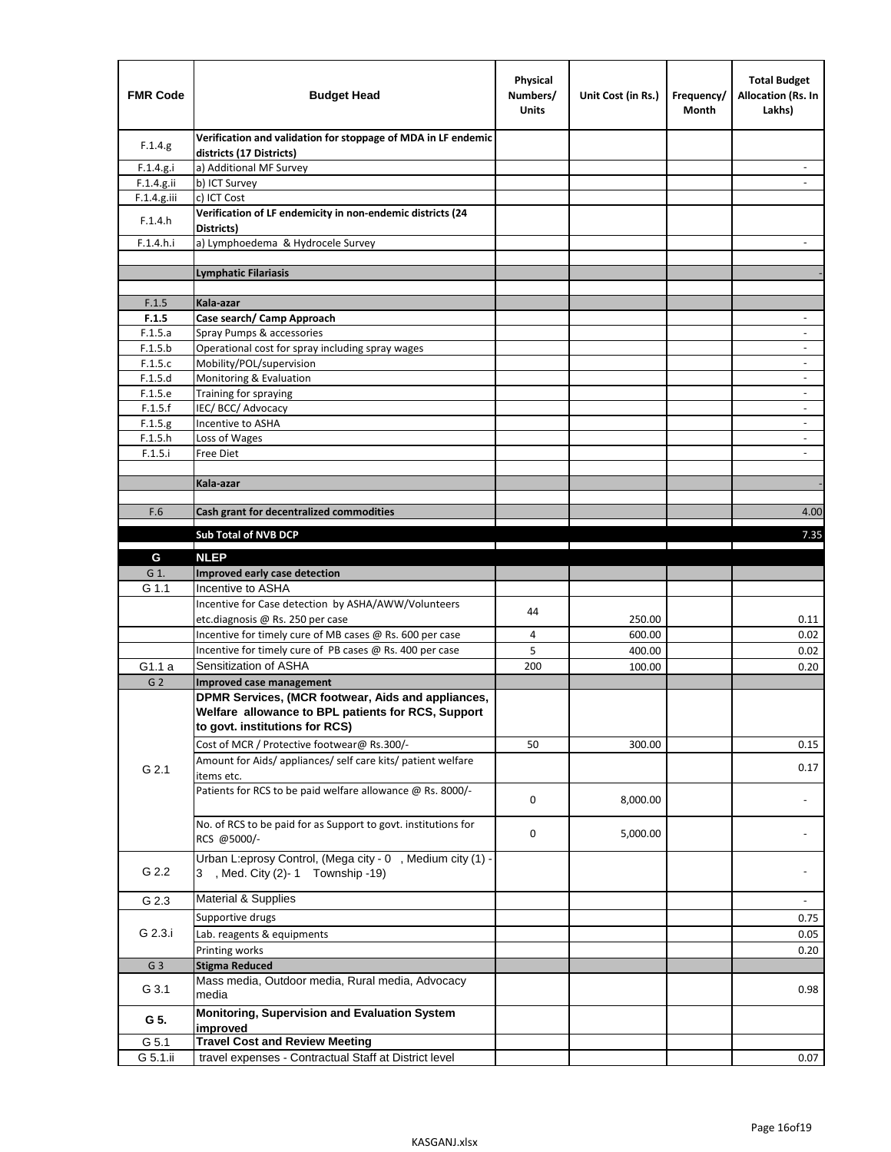| <b>FMR Code</b>    | <b>Budget Head</b>                                                                             | Physical<br>Numbers/<br><b>Units</b> | Unit Cost (in Rs.) | Frequency/<br>Month | <b>Total Budget</b><br><b>Allocation (Rs. In</b><br>Lakhs) |
|--------------------|------------------------------------------------------------------------------------------------|--------------------------------------|--------------------|---------------------|------------------------------------------------------------|
| F.1.4.g.           | Verification and validation for stoppage of MDA in LF endemic<br>districts (17 Districts)      |                                      |                    |                     |                                                            |
| F.1.4.g.i          | a) Additional MF Survey                                                                        |                                      |                    |                     |                                                            |
| F.1.4.g.ii         | b) ICT Survey                                                                                  |                                      |                    |                     |                                                            |
| $F.1.4.g.$ iii     | c) ICT Cost                                                                                    |                                      |                    |                     |                                                            |
| F.1.4.h            | Verification of LF endemicity in non-endemic districts (24<br>Districts)                       |                                      |                    |                     |                                                            |
| F.1.4.h.i          | a) Lymphoedema & Hydrocele Survey                                                              |                                      |                    |                     |                                                            |
|                    | <b>Lymphatic Filariasis</b>                                                                    |                                      |                    |                     |                                                            |
|                    |                                                                                                |                                      |                    |                     |                                                            |
| F.1.5              | Kala-azar                                                                                      |                                      |                    |                     |                                                            |
| F.1.5              | Case search/ Camp Approach                                                                     |                                      |                    |                     | $\overline{\phantom{a}}$                                   |
| F.1.5.a            | Spray Pumps & accessories                                                                      |                                      |                    |                     |                                                            |
| F.1.5.b            | Operational cost for spray including spray wages                                               |                                      |                    |                     |                                                            |
| F.1.5.c            | Mobility/POL/supervision                                                                       |                                      |                    |                     | $\overline{\phantom{a}}$                                   |
| F.1.5.d            | Monitoring & Evaluation                                                                        |                                      |                    |                     |                                                            |
| F.1.5.e            | Training for spraying                                                                          |                                      |                    |                     | $\overline{\phantom{a}}$                                   |
| F.1.5.f            | IEC/BCC/Advocacy<br>Incentive to ASHA                                                          |                                      |                    |                     | $\overline{\phantom{a}}$                                   |
| F.1.5.g<br>F.1.5.h | Loss of Wages                                                                                  |                                      |                    |                     | $\overline{\phantom{a}}$                                   |
| F.1.5.i            | Free Diet                                                                                      |                                      |                    |                     |                                                            |
|                    |                                                                                                |                                      |                    |                     |                                                            |
|                    | Kala-azar                                                                                      |                                      |                    |                     |                                                            |
|                    |                                                                                                |                                      |                    |                     |                                                            |
| F.6                | Cash grant for decentralized commodities                                                       |                                      |                    |                     | 4.00                                                       |
|                    | <b>Sub Total of NVB DCP</b>                                                                    |                                      |                    |                     | 7.35                                                       |
|                    |                                                                                                |                                      |                    |                     |                                                            |
| G                  | <b>NLEP</b>                                                                                    |                                      |                    |                     |                                                            |
| G 1.               | Improved early case detection<br>Incentive to ASHA                                             |                                      |                    |                     |                                                            |
| G 1.1              | Incentive for Case detection by ASHA/AWW/Volunteers                                            |                                      |                    |                     |                                                            |
|                    | etc.diagnosis @ Rs. 250 per case                                                               | 44                                   | 250.00             |                     | 0.11                                                       |
|                    | Incentive for timely cure of MB cases @ Rs. 600 per case                                       | 4                                    | 600.00             |                     | 0.02                                                       |
|                    | Incentive for timely cure of PB cases @ Rs. 400 per case                                       | 5                                    | 400.00             |                     | 0.02                                                       |
| G1.1 a             | Sensitization of ASHA                                                                          | 200                                  | 100.00             |                     | 0.20                                                       |
| G <sub>2</sub>     | Improved case management                                                                       |                                      |                    |                     |                                                            |
|                    | DPMR Services, (MCR footwear, Aids and appliances,                                             |                                      |                    |                     |                                                            |
|                    | Welfare allowance to BPL patients for RCS, Support                                             |                                      |                    |                     |                                                            |
|                    | to govt. institutions for RCS)                                                                 |                                      |                    |                     |                                                            |
|                    | Cost of MCR / Protective footwear@ Rs.300/-                                                    | 50                                   | 300.00             |                     | 0.15                                                       |
|                    | Amount for Aids/ appliances/ self care kits/ patient welfare                                   |                                      |                    |                     |                                                            |
| G 2.1              | items etc.                                                                                     |                                      |                    |                     | 0.17                                                       |
|                    | Patients for RCS to be paid welfare allowance @ Rs. 8000/-                                     | 0                                    | 8,000.00           |                     |                                                            |
|                    | No. of RCS to be paid for as Support to govt. institutions for                                 |                                      |                    |                     |                                                            |
|                    | RCS @5000/-                                                                                    | 0                                    | 5,000.00           |                     |                                                            |
|                    |                                                                                                |                                      |                    |                     |                                                            |
| G 2.2              | Urban L:eprosy Control, (Mega city - 0, Medium city (1) -<br>3 , Med. City (2)-1 Township -19) |                                      |                    |                     |                                                            |
| G 2.3              | <b>Material &amp; Supplies</b>                                                                 |                                      |                    |                     | $\overline{\phantom{a}}$                                   |
|                    | Supportive drugs                                                                               |                                      |                    |                     |                                                            |
| G 2.3.i            |                                                                                                |                                      |                    |                     | 0.75                                                       |
|                    | Lab. reagents & equipments                                                                     |                                      |                    |                     | 0.05                                                       |
|                    | Printing works                                                                                 |                                      |                    |                     | 0.20                                                       |
| G <sub>3</sub>     | <b>Stigma Reduced</b><br>Mass media, Outdoor media, Rural media, Advocacy                      |                                      |                    |                     |                                                            |
| G 3.1              | media                                                                                          |                                      |                    |                     | 0.98                                                       |
| G 5.               | Monitoring, Supervision and Evaluation System<br>improved                                      |                                      |                    |                     |                                                            |
| G 5.1              | <b>Travel Cost and Review Meeting</b>                                                          |                                      |                    |                     |                                                            |
| G 5.1.ii           | travel expenses - Contractual Staff at District level                                          |                                      |                    |                     | 0.07                                                       |
|                    |                                                                                                |                                      |                    |                     |                                                            |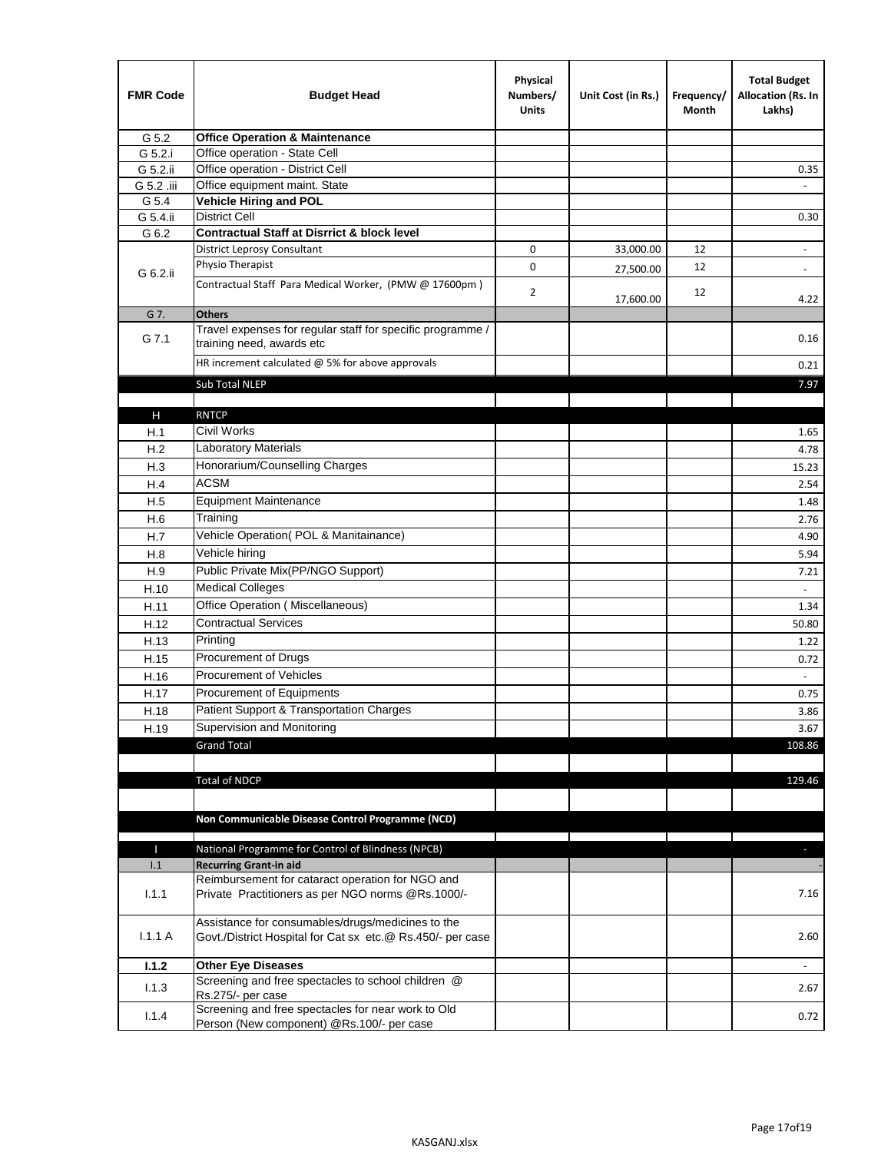| <b>FMR Code</b> | <b>Budget Head</b>                                                                                              | Physical<br>Numbers/<br><b>Units</b> | Unit Cost (in Rs.) | Frequency/<br>Month | <b>Total Budget</b><br>Allocation (Rs. In<br>Lakhs) |
|-----------------|-----------------------------------------------------------------------------------------------------------------|--------------------------------------|--------------------|---------------------|-----------------------------------------------------|
| G 5.2           | <b>Office Operation &amp; Maintenance</b>                                                                       |                                      |                    |                     |                                                     |
| G 5.2.i         | Office operation - State Cell                                                                                   |                                      |                    |                     |                                                     |
| G 5.2.ii        | Office operation - District Cell                                                                                |                                      |                    |                     | 0.35                                                |
| G 5.2 .iii      | Office equipment maint. State                                                                                   |                                      |                    |                     |                                                     |
| G 5.4           | <b>Vehicle Hiring and POL</b>                                                                                   |                                      |                    |                     |                                                     |
| G 5.4.ii        | <b>District Cell</b>                                                                                            |                                      |                    |                     | 0.30                                                |
| G 6.2           | <b>Contractual Staff at Disrrict &amp; block level</b>                                                          |                                      |                    |                     |                                                     |
|                 | <b>District Leprosy Consultant</b>                                                                              | 0                                    | 33,000.00          | 12                  |                                                     |
| G 6.2.ii        | Physio Therapist                                                                                                | 0                                    | 27,500.00          | 12                  | $\overline{\phantom{a}}$                            |
|                 | Contractual Staff Para Medical Worker, (PMW @ 17600pm)                                                          | $\overline{2}$                       | 17,600.00          | 12                  | 4.22                                                |
| G 7.            | <b>Others</b>                                                                                                   |                                      |                    |                     |                                                     |
| G 7.1           | Travel expenses for regular staff for specific programme /<br>training need, awards etc                         |                                      |                    |                     | 0.16                                                |
|                 | HR increment calculated $@$ 5% for above approvals                                                              |                                      |                    |                     | 0.21                                                |
|                 | Sub Total NLEP                                                                                                  |                                      |                    |                     | 7.97                                                |
|                 |                                                                                                                 |                                      |                    |                     |                                                     |
| Н               | <b>RNTCP</b>                                                                                                    |                                      |                    |                     |                                                     |
| H.1             | Civil Works                                                                                                     |                                      |                    |                     | 1.65                                                |
| H.2             | Laboratory Materials                                                                                            |                                      |                    |                     | 4.78                                                |
| H.3             | Honorarium/Counselling Charges                                                                                  |                                      |                    |                     | 15.23                                               |
| H.4             | <b>ACSM</b>                                                                                                     |                                      |                    |                     | 2.54                                                |
| H.5             | <b>Equipment Maintenance</b>                                                                                    |                                      |                    |                     | 1.48                                                |
| H.6             | Training                                                                                                        |                                      |                    |                     | 2.76                                                |
| H.7             | Vehicle Operation(POL & Manitainance)                                                                           |                                      |                    |                     | 4.90                                                |
| H.8             | Vehicle hiring                                                                                                  |                                      |                    |                     | 5.94                                                |
| H.9             | Public Private Mix(PP/NGO Support)                                                                              |                                      |                    |                     | 7.21                                                |
| H.10            | <b>Medical Colleges</b>                                                                                         |                                      |                    |                     | $\omega$                                            |
| H.11            | Office Operation (Miscellaneous)                                                                                |                                      |                    |                     | 1.34                                                |
| H.12            | <b>Contractual Services</b>                                                                                     |                                      |                    |                     | 50.80                                               |
| H.13            | Printing                                                                                                        |                                      |                    |                     | 1.22                                                |
| H.15            | Procurement of Drugs                                                                                            |                                      |                    |                     | 0.72                                                |
| H.16            | Procurement of Vehicles                                                                                         |                                      |                    |                     | $\omega$                                            |
| H.17            | Procurement of Equipments                                                                                       |                                      |                    |                     | 0.75                                                |
| H.18            | Patient Support & Transportation Charges                                                                        |                                      |                    |                     | 3.86                                                |
| H.19            | Supervision and Monitoring                                                                                      |                                      |                    |                     | 3.67                                                |
|                 | <b>Grand Total</b>                                                                                              |                                      |                    |                     | 108.86                                              |
|                 |                                                                                                                 |                                      |                    |                     |                                                     |
|                 | <b>Total of NDCP</b>                                                                                            |                                      |                    |                     | 129.46                                              |
|                 | Non Communicable Disease Control Programme (NCD)                                                                |                                      |                    |                     |                                                     |
| Т               | National Programme for Control of Blindness (NPCB)                                                              |                                      |                    |                     | ÷.                                                  |
| 1.1             | <b>Recurring Grant-in aid</b>                                                                                   |                                      |                    |                     |                                                     |
|                 | Reimbursement for cataract operation for NGO and                                                                |                                      |                    |                     |                                                     |
| 1.1.1           | Private Practitioners as per NGO norms @Rs.1000/-                                                               |                                      |                    |                     | 7.16                                                |
| 1.1.1A          | Assistance for consumables/drugs/medicines to the<br>Govt./District Hospital for Cat sx etc.@ Rs.450/- per case |                                      |                    |                     | 2.60                                                |
| 1.1.2           | <b>Other Eye Diseases</b>                                                                                       |                                      |                    |                     |                                                     |
| 1.1.3           | Screening and free spectacles to school children @                                                              |                                      |                    |                     | 2.67                                                |
|                 | Rs.275/- per case                                                                                               |                                      |                    |                     |                                                     |
| 1.1.4           | Screening and free spectacles for near work to Old<br>Person (New component) @Rs.100/- per case                 |                                      |                    |                     | 0.72                                                |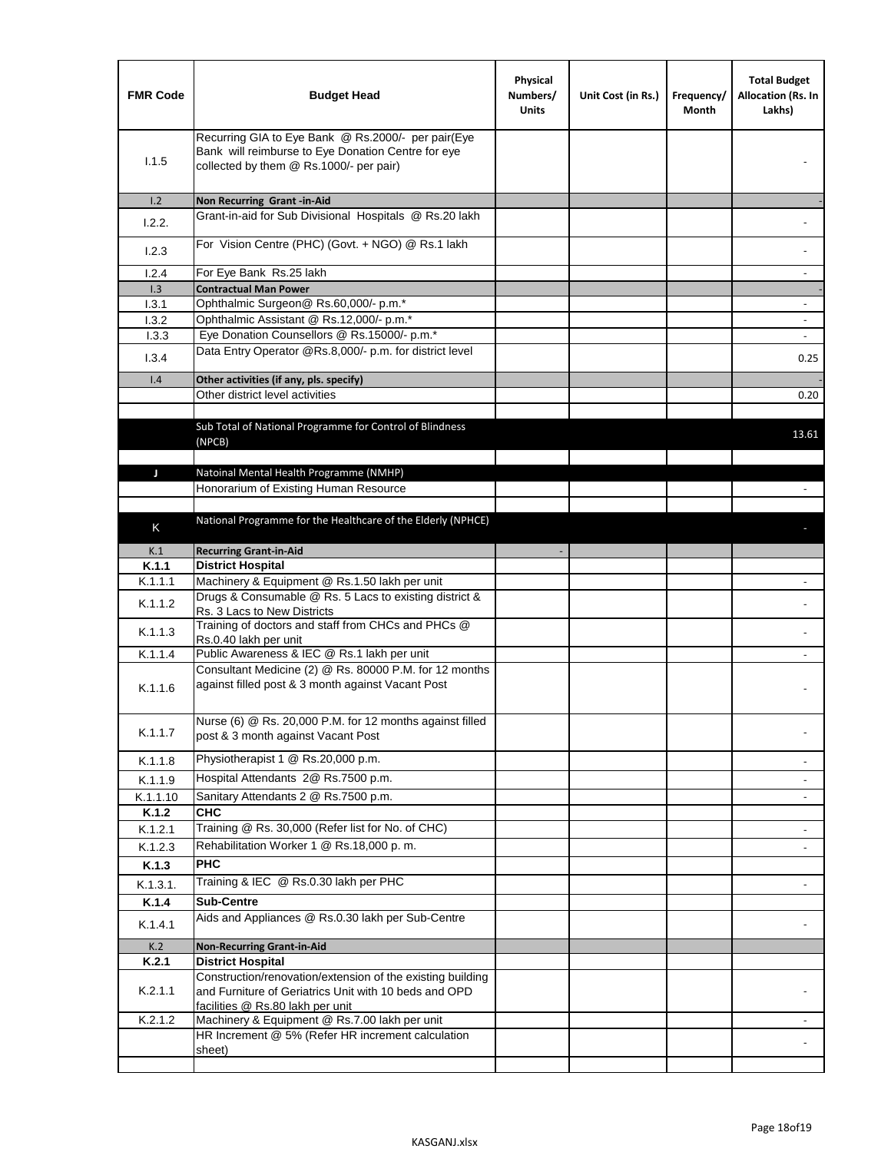| <b>FMR Code</b> | <b>Budget Head</b>                                                                                                                                      | Physical<br>Numbers/<br><b>Units</b> | Unit Cost (in Rs.) | Frequency/<br>Month | <b>Total Budget</b><br>Allocation (Rs. In<br>Lakhs) |
|-----------------|---------------------------------------------------------------------------------------------------------------------------------------------------------|--------------------------------------|--------------------|---------------------|-----------------------------------------------------|
| 1.1.5           | Recurring GIA to Eye Bank @ Rs.2000/- per pair(Eye<br>Bank will reimburse to Eye Donation Centre for eye<br>collected by them @ Rs.1000/- per pair)     |                                      |                    |                     |                                                     |
| 1.2             | Non Recurring Grant -in-Aid                                                                                                                             |                                      |                    |                     |                                                     |
| 1.2.2.          | Grant-in-aid for Sub Divisional Hospitals @ Rs.20 lakh                                                                                                  |                                      |                    |                     |                                                     |
| 1.2.3           | For Vision Centre (PHC) (Govt. + NGO) @ Rs.1 lakh                                                                                                       |                                      |                    |                     |                                                     |
| 1.2.4           | For Eye Bank Rs.25 lakh                                                                                                                                 |                                      |                    |                     | $\blacksquare$                                      |
| 1.3             | <b>Contractual Man Power</b>                                                                                                                            |                                      |                    |                     |                                                     |
| 1.3.1           | Ophthalmic Surgeon@ Rs.60,000/- p.m.*                                                                                                                   |                                      |                    |                     | $\blacksquare$                                      |
| 1.3.2           | Ophthalmic Assistant @ Rs.12,000/- p.m.*                                                                                                                |                                      |                    |                     |                                                     |
| 1.3.3           | Eye Donation Counsellors @ Rs.15000/- p.m.*<br>Data Entry Operator @Rs.8,000/- p.m. for district level                                                  |                                      |                    |                     | $\omega$                                            |
| 1.3.4           |                                                                                                                                                         |                                      |                    |                     | 0.25                                                |
| 1.4             | Other activities (if any, pls. specify)<br>Other district level activities                                                                              |                                      |                    |                     |                                                     |
|                 |                                                                                                                                                         |                                      |                    |                     | 0.20                                                |
|                 | Sub Total of National Programme for Control of Blindness<br>(NPCB)                                                                                      |                                      |                    |                     | 13.61                                               |
| J               | Natoinal Mental Health Programme (NMHP)                                                                                                                 |                                      |                    |                     |                                                     |
|                 | Honorarium of Existing Human Resource                                                                                                                   |                                      |                    |                     |                                                     |
|                 |                                                                                                                                                         |                                      |                    |                     |                                                     |
|                 | National Programme for the Healthcare of the Elderly (NPHCE)                                                                                            |                                      |                    |                     |                                                     |
| Κ               |                                                                                                                                                         |                                      |                    |                     |                                                     |
| K.1             | <b>Recurring Grant-in-Aid</b>                                                                                                                           |                                      |                    |                     |                                                     |
| K.1.1           | <b>District Hospital</b>                                                                                                                                |                                      |                    |                     |                                                     |
| K.1.1.1         | Machinery & Equipment @ Rs.1.50 lakh per unit                                                                                                           |                                      |                    |                     |                                                     |
| K.1.1.2         | Drugs & Consumable @ Rs. 5 Lacs to existing district &<br>Rs. 3 Lacs to New Districts                                                                   |                                      |                    |                     |                                                     |
| K.1.1.3         | Training of doctors and staff from CHCs and PHCs @<br>Rs.0.40 lakh per unit                                                                             |                                      |                    |                     |                                                     |
| K.1.1.4         | Public Awareness & IEC @ Rs.1 lakh per unit                                                                                                             |                                      |                    |                     |                                                     |
| K.1.1.6         | Consultant Medicine (2) @ Rs. 80000 P.M. for 12 months<br>against filled post & 3 month against Vacant Post                                             |                                      |                    |                     |                                                     |
| K.1.1.7         | Nurse (6) @ Rs. 20,000 P.M. for 12 months against filled<br>post & 3 month against Vacant Post                                                          |                                      |                    |                     |                                                     |
| K.1.1.8         | Physiotherapist 1 @ Rs.20,000 p.m.                                                                                                                      |                                      |                    |                     |                                                     |
| K.1.1.9         | Hospital Attendants 2@ Rs.7500 p.m.                                                                                                                     |                                      |                    |                     |                                                     |
| K.1.1.10        | Sanitary Attendants 2 @ Rs.7500 p.m.                                                                                                                    |                                      |                    |                     | $\overline{\phantom{a}}$                            |
| K.1.2           | <b>CHC</b>                                                                                                                                              |                                      |                    |                     |                                                     |
| K.1.2.1         | Training @ Rs. 30,000 (Refer list for No. of CHC)                                                                                                       |                                      |                    |                     |                                                     |
| K.1.2.3         | Rehabilitation Worker 1 @ Rs.18,000 p.m.                                                                                                                |                                      |                    |                     | $\overline{\phantom{a}}$                            |
| K.1.3           | <b>PHC</b>                                                                                                                                              |                                      |                    |                     |                                                     |
|                 | Training & IEC @ Rs.0.30 lakh per PHC                                                                                                                   |                                      |                    |                     |                                                     |
| K.1.3.1.        |                                                                                                                                                         |                                      |                    |                     |                                                     |
| K.1.4           | <b>Sub-Centre</b>                                                                                                                                       |                                      |                    |                     |                                                     |
| K.1.4.1         | Aids and Appliances @ Rs.0.30 lakh per Sub-Centre                                                                                                       |                                      |                    |                     |                                                     |
| K.2             | <b>Non-Recurring Grant-in-Aid</b>                                                                                                                       |                                      |                    |                     |                                                     |
| K.2.1           | <b>District Hospital</b>                                                                                                                                |                                      |                    |                     |                                                     |
| K.2.1.1         | Construction/renovation/extension of the existing building<br>and Furniture of Geriatrics Unit with 10 beds and OPD<br>facilities @ Rs.80 lakh per unit |                                      |                    |                     |                                                     |
| K.2.1.2         | Machinery & Equipment @ Rs.7.00 lakh per unit                                                                                                           |                                      |                    |                     |                                                     |
|                 | HR Increment @ 5% (Refer HR increment calculation                                                                                                       |                                      |                    |                     |                                                     |
|                 | sheet)                                                                                                                                                  |                                      |                    |                     |                                                     |